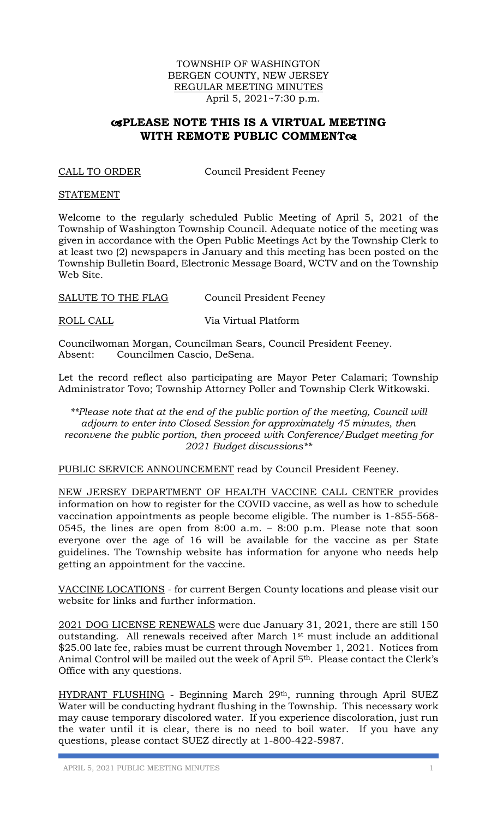## TOWNSHIP OF WASHINGTON BERGEN COUNTY, NEW JERSEY REGULAR MEETING MINUTES April 5, 2021~7:30 p.m.

# **PLEASE NOTE THIS IS A VIRTUAL MEETING WITH REMOTE PUBLIC COMMENT**

CALL TO ORDER Council President Feeney

#### **STATEMENT**

Welcome to the regularly scheduled Public Meeting of April 5, 2021 of the Township of Washington Township Council. Adequate notice of the meeting was given in accordance with the Open Public Meetings Act by the Township Clerk to at least two (2) newspapers in January and this meeting has been posted on the Township Bulletin Board, Electronic Message Board, WCTV and on the Township Web Site.

SALUTE TO THE FLAG Council President Feeney

ROLL CALL Via Virtual Platform

Councilwoman Morgan, Councilman Sears, Council President Feeney. Absent: Councilmen Cascio, DeSena.

Let the record reflect also participating are Mayor Peter Calamari; Township Administrator Tovo; Township Attorney Poller and Township Clerk Witkowski.

*\*\*Please note that at the end of the public portion of the meeting, Council will adjourn to enter into Closed Session for approximately 45 minutes, then reconvene the public portion, then proceed with Conference/Budget meeting for 2021 Budget discussions\*\**

PUBLIC SERVICE ANNOUNCEMENT read by Council President Feeney.

NEW JERSEY DEPARTMENT OF HEALTH VACCINE CALL CENTER provides information on how to register for the COVID vaccine, as well as how to schedule vaccination appointments as people become eligible. The number is 1-855-568- 0545, the lines are open from 8:00 a.m. – 8:00 p.m. Please note that soon everyone over the age of 16 will be available for the vaccine as per State guidelines. The Township website has information for anyone who needs help getting an appointment for the vaccine.

VACCINE LOCATIONS - for current Bergen County locations and please visit our website for links and further information.

2021 DOG LICENSE RENEWALS were due January 31, 2021, there are still 150 outstanding. All renewals received after March 1st must include an additional \$25.00 late fee, rabies must be current through November 1, 2021. Notices from Animal Control will be mailed out the week of April 5th. Please contact the Clerk's Office with any questions.

HYDRANT FLUSHING - Beginning March 29th, running through April SUEZ Water will be conducting hydrant flushing in the Township. This necessary work may cause temporary discolored water. If you experience discoloration, just run the water until it is clear, there is no need to boil water. If you have any questions, please contact SUEZ directly at 1-800-422-5987.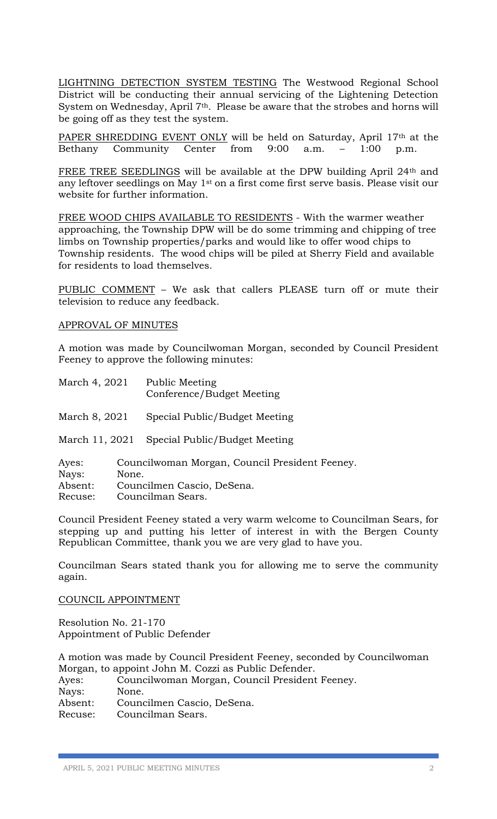LIGHTNING DETECTION SYSTEM TESTING The Westwood Regional School District will be conducting their annual servicing of the Lightening Detection System on Wednesday, April 7<sup>th</sup>. Please be aware that the strobes and horns will be going off as they test the system.

PAPER SHREDDING EVENT ONLY will be held on Saturday, April 17th at the Bethany Community Center from 9:00 a.m. – 1:00 p.m.

FREE TREE SEEDLINGS will be available at the DPW building April 24th and any leftover seedlings on May 1st on a first come first serve basis. Please visit our website for further information.

FREE WOOD CHIPS AVAILABLE TO RESIDENTS - With the warmer weather approaching, the Township DPW will be do some trimming and chipping of tree limbs on Township properties/parks and would like to offer wood chips to Township residents. The wood chips will be piled at Sherry Field and available for residents to load themselves.

PUBLIC COMMENT – We ask that callers PLEASE turn off or mute their television to reduce any feedback.

#### APPROVAL OF MINUTES

A motion was made by Councilwoman Morgan, seconded by Council President Feeney to approve the following minutes:

| March 4, 2021             |       | <b>Public Meeting</b><br>Conference/Budget Meeting                           |
|---------------------------|-------|------------------------------------------------------------------------------|
| March 8, 2021             |       | Special Public/Budget Meeting                                                |
| March 11, 2021            |       | Special Public/Budget Meeting                                                |
| Ayes:<br>Nays:<br>Absent: | None. | Councilwoman Morgan, Council President Feeney.<br>Councilmen Cascio, DeSena. |

Recuse: Councilman Sears.

Council President Feeney stated a very warm welcome to Councilman Sears, for stepping up and putting his letter of interest in with the Bergen County Republican Committee, thank you we are very glad to have you.

Councilman Sears stated thank you for allowing me to serve the community again.

COUNCIL APPOINTMENT

Resolution No. 21-170 Appointment of Public Defender

A motion was made by Council President Feeney, seconded by Councilwoman Morgan, to appoint John M. Cozzi as Public Defender.

Ayes: Councilwoman Morgan, Council President Feeney. Nays: None. Absent: Councilmen Cascio, DeSena.

Recuse: Councilman Sears.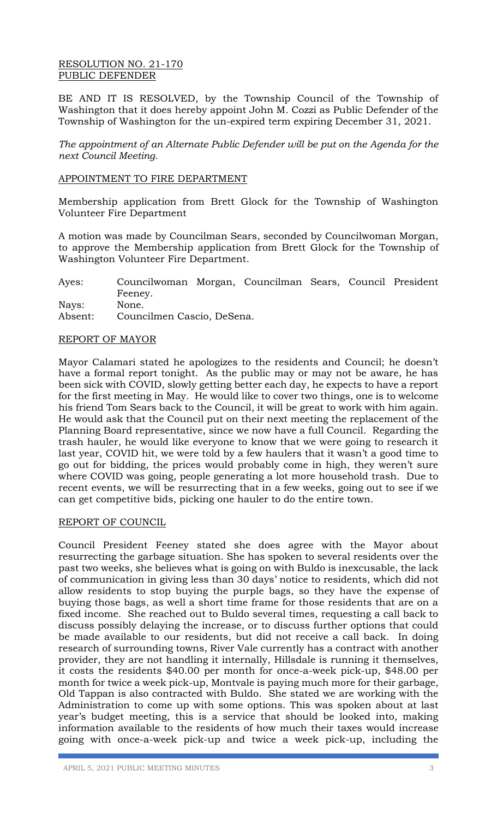## RESOLUTION NO. 21-170 PUBLIC DEFENDER

BE AND IT IS RESOLVED, by the Township Council of the Township of Washington that it does hereby appoint John M. Cozzi as Public Defender of the Township of Washington for the un-expired term expiring December 31, 2021.

*The appointment of an Alternate Public Defender will be put on the Agenda for the next Council Meeting.* 

# APPOINTMENT TO FIRE DEPARTMENT

Membership application from Brett Glock for the Township of Washington Volunteer Fire Department

A motion was made by Councilman Sears, seconded by Councilwoman Morgan, to approve the Membership application from Brett Glock for the Township of Washington Volunteer Fire Department.

Ayes: Councilwoman Morgan, Councilman Sears, Council President Feeney. Nays: None. Absent: Councilmen Cascio, DeSena.

#### REPORT OF MAYOR

Mayor Calamari stated he apologizes to the residents and Council; he doesn't have a formal report tonight. As the public may or may not be aware, he has been sick with COVID, slowly getting better each day, he expects to have a report for the first meeting in May. He would like to cover two things, one is to welcome his friend Tom Sears back to the Council, it will be great to work with him again. He would ask that the Council put on their next meeting the replacement of the Planning Board representative, since we now have a full Council. Regarding the trash hauler, he would like everyone to know that we were going to research it last year, COVID hit, we were told by a few haulers that it wasn't a good time to go out for bidding, the prices would probably come in high, they weren't sure where COVID was going, people generating a lot more household trash. Due to recent events, we will be resurrecting that in a few weeks, going out to see if we can get competitive bids, picking one hauler to do the entire town.

#### REPORT OF COUNCIL

Council President Feeney stated she does agree with the Mayor about resurrecting the garbage situation. She has spoken to several residents over the past two weeks, she believes what is going on with Buldo is inexcusable, the lack of communication in giving less than 30 days' notice to residents, which did not allow residents to stop buying the purple bags, so they have the expense of buying those bags, as well a short time frame for those residents that are on a fixed income. She reached out to Buldo several times, requesting a call back to discuss possibly delaying the increase, or to discuss further options that could be made available to our residents, but did not receive a call back. In doing research of surrounding towns, River Vale currently has a contract with another provider, they are not handling it internally, Hillsdale is running it themselves, it costs the residents \$40.00 per month for once-a-week pick-up, \$48.00 per month for twice a week pick-up, Montvale is paying much more for their garbage, Old Tappan is also contracted with Buldo. She stated we are working with the Administration to come up with some options. This was spoken about at last year's budget meeting, this is a service that should be looked into, making information available to the residents of how much their taxes would increase going with once-a-week pick-up and twice a week pick-up, including the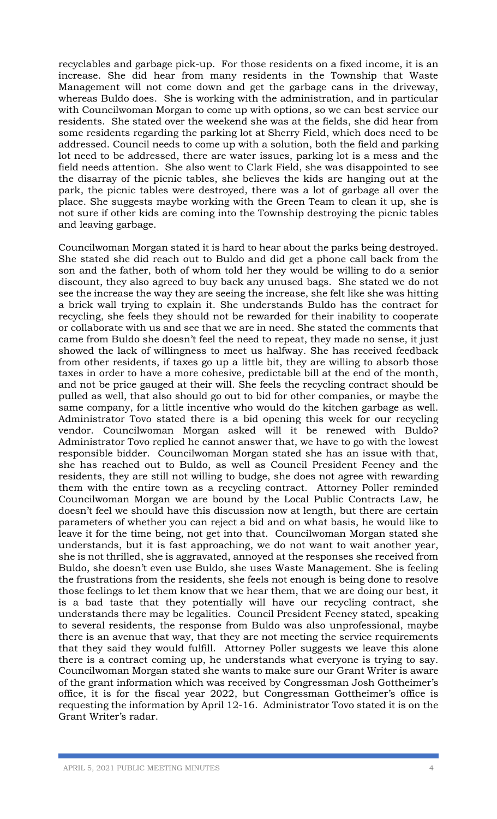recyclables and garbage pick-up. For those residents on a fixed income, it is an increase. She did hear from many residents in the Township that Waste Management will not come down and get the garbage cans in the driveway, whereas Buldo does. She is working with the administration, and in particular with Councilwoman Morgan to come up with options, so we can best service our residents. She stated over the weekend she was at the fields, she did hear from some residents regarding the parking lot at Sherry Field, which does need to be addressed. Council needs to come up with a solution, both the field and parking lot need to be addressed, there are water issues, parking lot is a mess and the field needs attention. She also went to Clark Field, she was disappointed to see the disarray of the picnic tables, she believes the kids are hanging out at the park, the picnic tables were destroyed, there was a lot of garbage all over the place. She suggests maybe working with the Green Team to clean it up, she is not sure if other kids are coming into the Township destroying the picnic tables and leaving garbage.

Councilwoman Morgan stated it is hard to hear about the parks being destroyed. She stated she did reach out to Buldo and did get a phone call back from the son and the father, both of whom told her they would be willing to do a senior discount, they also agreed to buy back any unused bags. She stated we do not see the increase the way they are seeing the increase, she felt like she was hitting a brick wall trying to explain it. She understands Buldo has the contract for recycling, she feels they should not be rewarded for their inability to cooperate or collaborate with us and see that we are in need. She stated the comments that came from Buldo she doesn't feel the need to repeat, they made no sense, it just showed the lack of willingness to meet us halfway. She has received feedback from other residents, if taxes go up a little bit, they are willing to absorb those taxes in order to have a more cohesive, predictable bill at the end of the month, and not be price gauged at their will. She feels the recycling contract should be pulled as well, that also should go out to bid for other companies, or maybe the same company, for a little incentive who would do the kitchen garbage as well. Administrator Tovo stated there is a bid opening this week for our recycling vendor. Councilwoman Morgan asked will it be renewed with Buldo? Administrator Tovo replied he cannot answer that, we have to go with the lowest responsible bidder. Councilwoman Morgan stated she has an issue with that, she has reached out to Buldo, as well as Council President Feeney and the residents, they are still not willing to budge, she does not agree with rewarding them with the entire town as a recycling contract. Attorney Poller reminded Councilwoman Morgan we are bound by the Local Public Contracts Law, he doesn't feel we should have this discussion now at length, but there are certain parameters of whether you can reject a bid and on what basis, he would like to leave it for the time being, not get into that. Councilwoman Morgan stated she understands, but it is fast approaching, we do not want to wait another year, she is not thrilled, she is aggravated, annoyed at the responses she received from Buldo, she doesn't even use Buldo, she uses Waste Management. She is feeling the frustrations from the residents, she feels not enough is being done to resolve those feelings to let them know that we hear them, that we are doing our best, it is a bad taste that they potentially will have our recycling contract, she understands there may be legalities. Council President Feeney stated, speaking to several residents, the response from Buldo was also unprofessional, maybe there is an avenue that way, that they are not meeting the service requirements that they said they would fulfill. Attorney Poller suggests we leave this alone there is a contract coming up, he understands what everyone is trying to say. Councilwoman Morgan stated she wants to make sure our Grant Writer is aware of the grant information which was received by Congressman Josh Gottheimer's office, it is for the fiscal year 2022, but Congressman Gottheimer's office is requesting the information by April 12-16. Administrator Tovo stated it is on the Grant Writer's radar.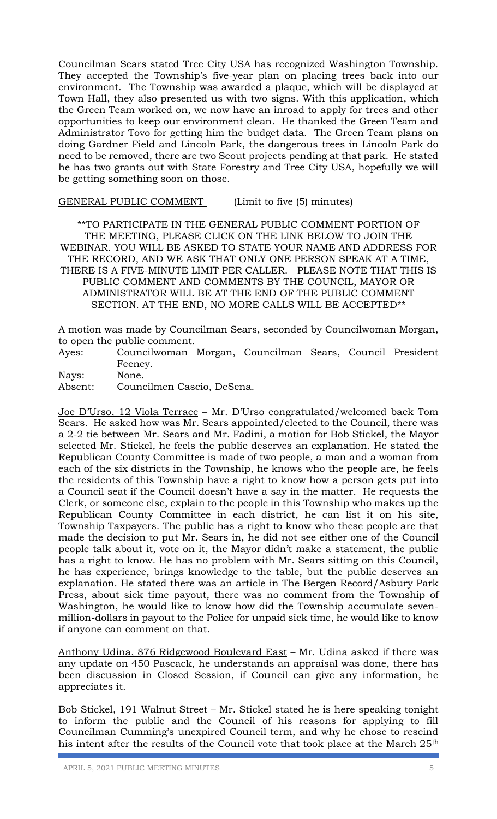Councilman Sears stated Tree City USA has recognized Washington Township. They accepted the Township's five-year plan on placing trees back into our environment. The Township was awarded a plaque, which will be displayed at Town Hall, they also presented us with two signs. With this application, which the Green Team worked on, we now have an inroad to apply for trees and other opportunities to keep our environment clean. He thanked the Green Team and Administrator Tovo for getting him the budget data. The Green Team plans on doing Gardner Field and Lincoln Park, the dangerous trees in Lincoln Park do need to be removed, there are two Scout projects pending at that park. He stated he has two grants out with State Forestry and Tree City USA, hopefully we will be getting something soon on those.

GENERAL PUBLIC COMMENT (Limit to five (5) minutes)

\*\*TO PARTICIPATE IN THE GENERAL PUBLIC COMMENT PORTION OF THE MEETING, PLEASE CLICK ON THE LINK BELOW TO JOIN THE WEBINAR. YOU WILL BE ASKED TO STATE YOUR NAME AND ADDRESS FOR THE RECORD, AND WE ASK THAT ONLY ONE PERSON SPEAK AT A TIME, THERE IS A FIVE-MINUTE LIMIT PER CALLER. PLEASE NOTE THAT THIS IS PUBLIC COMMENT AND COMMENTS BY THE COUNCIL, MAYOR OR ADMINISTRATOR WILL BE AT THE END OF THE PUBLIC COMMENT SECTION. AT THE END, NO MORE CALLS WILL BE ACCEPTED\*\*

A motion was made by Councilman Sears, seconded by Councilwoman Morgan, to open the public comment.

Ayes: Councilwoman Morgan, Councilman Sears, Council President Feeney.

Nays: None.

Absent: Councilmen Cascio, DeSena.

Joe D'Urso, 12 Viola Terrace – Mr. D'Urso congratulated/welcomed back Tom Sears. He asked how was Mr. Sears appointed/elected to the Council, there was a 2-2 tie between Mr. Sears and Mr. Fadini, a motion for Bob Stickel, the Mayor selected Mr. Stickel, he feels the public deserves an explanation. He stated the Republican County Committee is made of two people, a man and a woman from each of the six districts in the Township, he knows who the people are, he feels the residents of this Township have a right to know how a person gets put into a Council seat if the Council doesn't have a say in the matter. He requests the Clerk, or someone else, explain to the people in this Township who makes up the Republican County Committee in each district, he can list it on his site, Township Taxpayers. The public has a right to know who these people are that made the decision to put Mr. Sears in, he did not see either one of the Council people talk about it, vote on it, the Mayor didn't make a statement, the public has a right to know. He has no problem with Mr. Sears sitting on this Council, he has experience, brings knowledge to the table, but the public deserves an explanation. He stated there was an article in The Bergen Record/Asbury Park Press, about sick time payout, there was no comment from the Township of Washington, he would like to know how did the Township accumulate sevenmillion-dollars in payout to the Police for unpaid sick time, he would like to know if anyone can comment on that.

Anthony Udina, 876 Ridgewood Boulevard East – Mr. Udina asked if there was any update on 450 Pascack, he understands an appraisal was done, there has been discussion in Closed Session, if Council can give any information, he appreciates it.

Bob Stickel, 191 Walnut Street – Mr. Stickel stated he is here speaking tonight to inform the public and the Council of his reasons for applying to fill Councilman Cumming's unexpired Council term, and why he chose to rescind his intent after the results of the Council vote that took place at the March 25<sup>th</sup>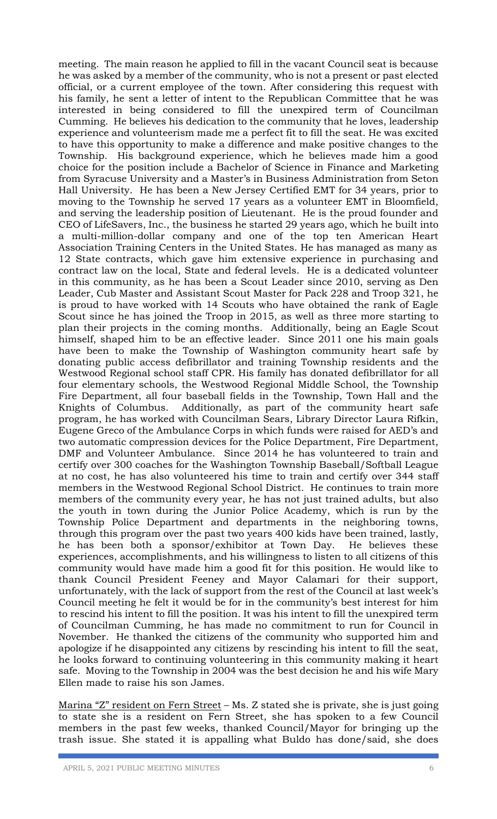meeting. The main reason he applied to fill in the vacant Council seat is because he was asked by a member of the community, who is not a present or past elected official, or a current employee of the town. After considering this request with his family, he sent a letter of intent to the Republican Committee that he was interested in being considered to fill the unexpired term of Councilman Cumming. He believes his dedication to the community that he loves, leadership experience and volunteerism made me a perfect fit to fill the seat. He was excited to have this opportunity to make a difference and make positive changes to the Township. His background experience, which he believes made him a good choice for the position include a Bachelor of Science in Finance and Marketing from Syracuse University and a Master's in Business Administration from Seton Hall University. He has been a New Jersey Certified EMT for 34 years, prior to moving to the Township he served 17 years as a volunteer EMT in Bloomfield, and serving the leadership position of Lieutenant. He is the proud founder and CEO of LifeSavers, Inc., the business he started 29 years ago, which he built into a multi-million-dollar company and one of the top ten American Heart Association Training Centers in the United States. He has managed as many as 12 State contracts, which gave him extensive experience in purchasing and contract law on the local, State and federal levels. He is a dedicated volunteer in this community, as he has been a Scout Leader since 2010, serving as Den Leader, Cub Master and Assistant Scout Master for Pack 228 and Troop 321, he is proud to have worked with 14 Scouts who have obtained the rank of Eagle Scout since he has joined the Troop in 2015, as well as three more starting to plan their projects in the coming months. Additionally, being an Eagle Scout himself, shaped him to be an effective leader. Since 2011 one his main goals have been to make the Township of Washington community heart safe by donating public access defibrillator and training Township residents and the Westwood Regional school staff CPR. His family has donated defibrillator for all four elementary schools, the Westwood Regional Middle School, the Township Fire Department, all four baseball fields in the Township, Town Hall and the Knights of Columbus. Additionally, as part of the community heart safe program, he has worked with Councilman Sears, Library Director Laura Rifkin, Eugene Greco of the Ambulance Corps in which funds were raised for AED's and two automatic compression devices for the Police Department, Fire Department, DMF and Volunteer Ambulance. Since 2014 he has volunteered to train and certify over 300 coaches for the Washington Township Baseball/Softball League at no cost, he has also volunteered his time to train and certify over 344 staff members in the Westwood Regional School District. He continues to train more members of the community every year, he has not just trained adults, but also the youth in town during the Junior Police Academy, which is run by the Township Police Department and departments in the neighboring towns, through this program over the past two years 400 kids have been trained, lastly, he has been both a sponsor/exhibitor at Town Day. He believes these experiences, accomplishments, and his willingness to listen to all citizens of this community would have made him a good fit for this position. He would like to thank Council President Feeney and Mayor Calamari for their support, unfortunately, with the lack of support from the rest of the Council at last week's Council meeting he felt it would be for in the community's best interest for him to rescind his intent to fill the position. It was his intent to fill the unexpired term of Councilman Cumming, he has made no commitment to run for Council in November. He thanked the citizens of the community who supported him and apologize if he disappointed any citizens by rescinding his intent to fill the seat, he looks forward to continuing volunteering in this community making it heart safe. Moving to the Township in 2004 was the best decision he and his wife Mary Ellen made to raise his son James.

Marina "Z" resident on Fern Street – Ms. Z stated she is private, she is just going to state she is a resident on Fern Street, she has spoken to a few Council members in the past few weeks, thanked Council/Mayor for bringing up the trash issue. She stated it is appalling what Buldo has done/said, she does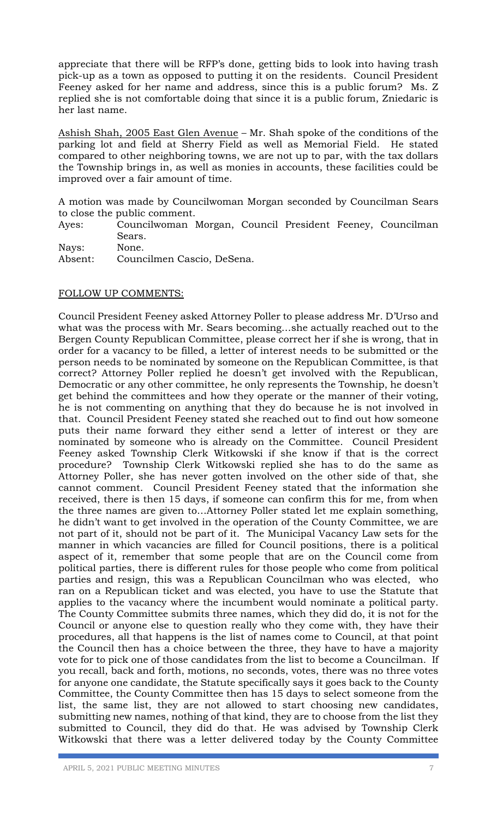appreciate that there will be RFP's done, getting bids to look into having trash pick-up as a town as opposed to putting it on the residents. Council President Feeney asked for her name and address, since this is a public forum? Ms. Z replied she is not comfortable doing that since it is a public forum, Zniedaric is her last name.

Ashish Shah, 2005 East Glen Avenue – Mr. Shah spoke of the conditions of the parking lot and field at Sherry Field as well as Memorial Field. He stated compared to other neighboring towns, we are not up to par, with the tax dollars the Township brings in, as well as monies in accounts, these facilities could be improved over a fair amount of time.

A motion was made by Councilwoman Morgan seconded by Councilman Sears to close the public comment.

Ayes: Councilwoman Morgan, Council President Feeney, Councilman Sears.

Nays: None. Absent: Councilmen Cascio, DeSena.

## FOLLOW UP COMMENTS:

Council President Feeney asked Attorney Poller to please address Mr. D'Urso and what was the process with Mr. Sears becoming…she actually reached out to the Bergen County Republican Committee, please correct her if she is wrong, that in order for a vacancy to be filled, a letter of interest needs to be submitted or the person needs to be nominated by someone on the Republican Committee, is that correct? Attorney Poller replied he doesn't get involved with the Republican, Democratic or any other committee, he only represents the Township, he doesn't get behind the committees and how they operate or the manner of their voting, he is not commenting on anything that they do because he is not involved in that. Council President Feeney stated she reached out to find out how someone puts their name forward they either send a letter of interest or they are nominated by someone who is already on the Committee. Council President Feeney asked Township Clerk Witkowski if she know if that is the correct procedure? Township Clerk Witkowski replied she has to do the same as Attorney Poller, she has never gotten involved on the other side of that, she cannot comment. Council President Feeney stated that the information she received, there is then 15 days, if someone can confirm this for me, from when the three names are given to…Attorney Poller stated let me explain something, he didn't want to get involved in the operation of the County Committee, we are not part of it, should not be part of it. The Municipal Vacancy Law sets for the manner in which vacancies are filled for Council positions, there is a political aspect of it, remember that some people that are on the Council come from political parties, there is different rules for those people who come from political parties and resign, this was a Republican Councilman who was elected, who ran on a Republican ticket and was elected, you have to use the Statute that applies to the vacancy where the incumbent would nominate a political party. The County Committee submits three names, which they did do, it is not for the Council or anyone else to question really who they come with, they have their procedures, all that happens is the list of names come to Council, at that point the Council then has a choice between the three, they have to have a majority vote for to pick one of those candidates from the list to become a Councilman. If you recall, back and forth, motions, no seconds, votes, there was no three votes for anyone one candidate, the Statute specifically says it goes back to the County Committee, the County Committee then has 15 days to select someone from the list, the same list, they are not allowed to start choosing new candidates, submitting new names, nothing of that kind, they are to choose from the list they submitted to Council, they did do that. He was advised by Township Clerk Witkowski that there was a letter delivered today by the County Committee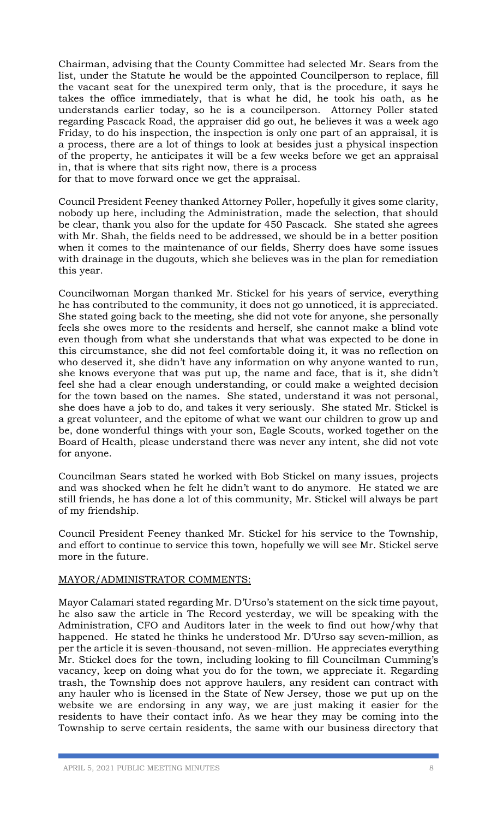Chairman, advising that the County Committee had selected Mr. Sears from the list, under the Statute he would be the appointed Councilperson to replace, fill the vacant seat for the unexpired term only, that is the procedure, it says he takes the office immediately, that is what he did, he took his oath, as he understands earlier today, so he is a councilperson. Attorney Poller stated regarding Pascack Road, the appraiser did go out, he believes it was a week ago Friday, to do his inspection, the inspection is only one part of an appraisal, it is a process, there are a lot of things to look at besides just a physical inspection of the property, he anticipates it will be a few weeks before we get an appraisal in, that is where that sits right now, there is a process for that to move forward once we get the appraisal.

Council President Feeney thanked Attorney Poller, hopefully it gives some clarity, nobody up here, including the Administration, made the selection, that should be clear, thank you also for the update for 450 Pascack. She stated she agrees with Mr. Shah, the fields need to be addressed, we should be in a better position when it comes to the maintenance of our fields, Sherry does have some issues with drainage in the dugouts, which she believes was in the plan for remediation this year.

Councilwoman Morgan thanked Mr. Stickel for his years of service, everything he has contributed to the community, it does not go unnoticed, it is appreciated. She stated going back to the meeting, she did not vote for anyone, she personally feels she owes more to the residents and herself, she cannot make a blind vote even though from what she understands that what was expected to be done in this circumstance, she did not feel comfortable doing it, it was no reflection on who deserved it, she didn't have any information on why anyone wanted to run, she knows everyone that was put up, the name and face, that is it, she didn't feel she had a clear enough understanding, or could make a weighted decision for the town based on the names. She stated, understand it was not personal, she does have a job to do, and takes it very seriously. She stated Mr. Stickel is a great volunteer, and the epitome of what we want our children to grow up and be, done wonderful things with your son, Eagle Scouts, worked together on the Board of Health, please understand there was never any intent, she did not vote for anyone.

Councilman Sears stated he worked with Bob Stickel on many issues, projects and was shocked when he felt he didn't want to do anymore. He stated we are still friends, he has done a lot of this community, Mr. Stickel will always be part of my friendship.

Council President Feeney thanked Mr. Stickel for his service to the Township, and effort to continue to service this town, hopefully we will see Mr. Stickel serve more in the future.

## MAYOR/ADMINISTRATOR COMMENTS:

Mayor Calamari stated regarding Mr. D'Urso's statement on the sick time payout, he also saw the article in The Record yesterday, we will be speaking with the Administration, CFO and Auditors later in the week to find out how/why that happened. He stated he thinks he understood Mr. D'Urso say seven-million, as per the article it is seven-thousand, not seven-million. He appreciates everything Mr. Stickel does for the town, including looking to fill Councilman Cumming's vacancy, keep on doing what you do for the town, we appreciate it. Regarding trash, the Township does not approve haulers, any resident can contract with any hauler who is licensed in the State of New Jersey, those we put up on the website we are endorsing in any way, we are just making it easier for the residents to have their contact info. As we hear they may be coming into the Township to serve certain residents, the same with our business directory that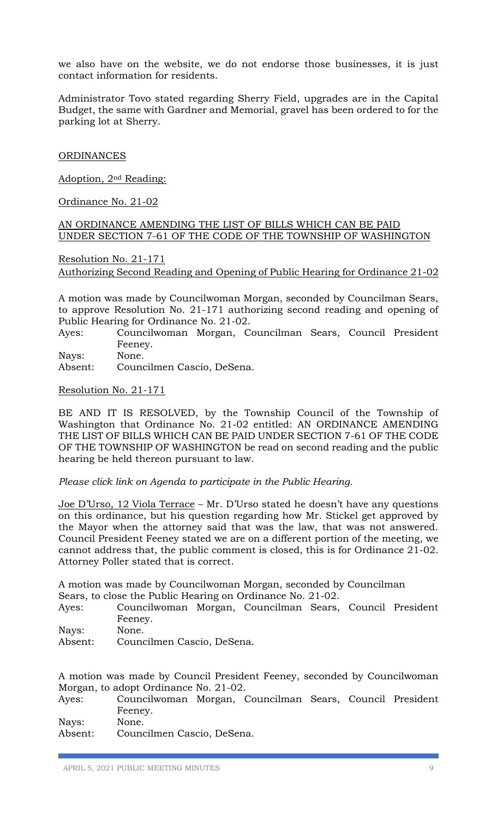we also have on the website, we do not endorse those businesses, it is just contact information for residents.

Administrator Tovo stated regarding Sherry Field, upgrades are in the Capital Budget, the same with Gardner and Memorial, gravel has been ordered to for the parking lot at Sherry.

**ORDINANCES** 

Adoption, 2nd Reading:

Ordinance No. 21-02

AN ORDINANCE AMENDING THE LIST OF BILLS WHICH CAN BE PAID UNDER SECTION 7-61 OF THE CODE OF THE TOWNSHIP OF WASHINGTON

Resolution No. 21-171 Authorizing Second Reading and Opening of Public Hearing for Ordinance 21-02

A motion was made by Councilwoman Morgan, seconded by Councilman Sears, to approve Resolution No. 21-171 authorizing second reading and opening of Public Hearing for Ordinance No. 21-02.

Ayes: Councilwoman Morgan, Councilman Sears, Council President Feeney.

Nays: None.

Absent: Councilmen Cascio, DeSena.

Resolution No. 21-171

BE AND IT IS RESOLVED, by the Township Council of the Township of Washington that Ordinance No. 21-02 entitled: AN ORDINANCE AMENDING THE LIST OF BILLS WHICH CAN BE PAID UNDER SECTION 7-61 OF THE CODE OF THE TOWNSHIP OF WASHINGTON be read on second reading and the public hearing be held thereon pursuant to law.

*Please click link on Agenda to participate in the Public Hearing.*

Joe D'Urso, 12 Viola Terrace – Mr. D'Urso stated he doesn't have any questions on this ordinance, but his question regarding how Mr. Stickel get approved by the Mayor when the attorney said that was the law, that was not answered. Council President Feeney stated we are on a different portion of the meeting, we cannot address that, the public comment is closed, this is for Ordinance 21-02. Attorney Poller stated that is correct.

A motion was made by Councilwoman Morgan, seconded by Councilman Sears, to close the Public Hearing on Ordinance No. 21-02.

- Ayes: Councilwoman Morgan, Councilman Sears, Council President Feeney.
- Nays: None.
- Absent: Councilmen Cascio, DeSena.

A motion was made by Council President Feeney, seconded by Councilwoman Morgan, to adopt Ordinance No. 21-02.

| Ayes: | Councilwoman Morgan, Councilman Sears, Council President |  |  |  |
|-------|----------------------------------------------------------|--|--|--|
|       | Feeney.                                                  |  |  |  |
| Nays: | None.                                                    |  |  |  |

Absent: Councilmen Cascio, DeSena.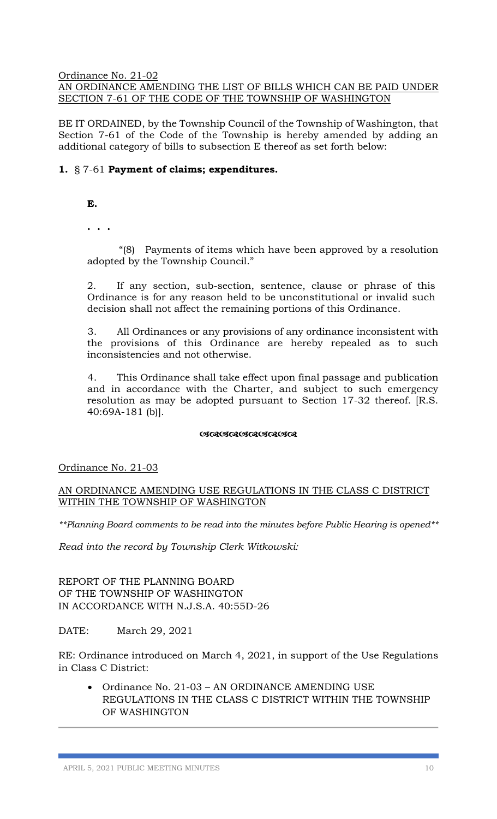Ordinance No. 21-02

## AN ORDINANCE AMENDING THE LIST OF BILLS WHICH CAN BE PAID UNDER SECTION 7-61 OF THE CODE OF THE TOWNSHIP OF WASHINGTON

BE IT ORDAINED, by the Township Council of the Township of Washington, that Section 7-61 of the Code of the Township is hereby amended by adding an additional category of bills to subsection E thereof as set forth below:

## **1.** § 7-61 **Payment of claims; expenditures.**

- **E.**
- **. . .**

"(8) Payments of items which have been approved by a resolution adopted by the Township Council."

2. If any section, sub-section, sentence, clause or phrase of this Ordinance is for any reason held to be unconstitutional or invalid such decision shall not affect the remaining portions of this Ordinance.

3. All Ordinances or any provisions of any ordinance inconsistent with the provisions of this Ordinance are hereby repealed as to such inconsistencies and not otherwise.

4. This Ordinance shall take effect upon final passage and publication and in accordance with the Charter, and subject to such emergency resolution as may be adopted pursuant to Section 17-32 thereof. [R.S. 40:69A-181 (b)].

#### 

# Ordinance No. 21-03

## AN ORDINANCE AMENDING USE REGULATIONS IN THE CLASS C DISTRICT WITHIN THE TOWNSHIP OF WASHINGTON

*\*\*Planning Board comments to be read into the minutes before Public Hearing is opened\*\**

*Read into the record by Township Clerk Witkowski:* 

REPORT OF THE PLANNING BOARD OF THE TOWNSHIP OF WASHINGTON IN ACCORDANCE WITH N.J.S.A. 40:55D-26

DATE: March 29, 2021

RE: Ordinance introduced on March 4, 2021, in support of the Use Regulations in Class C District:

• Ordinance No. 21-03 – AN ORDINANCE AMENDING USE REGULATIONS IN THE CLASS C DISTRICT WITHIN THE TOWNSHIP OF WASHINGTON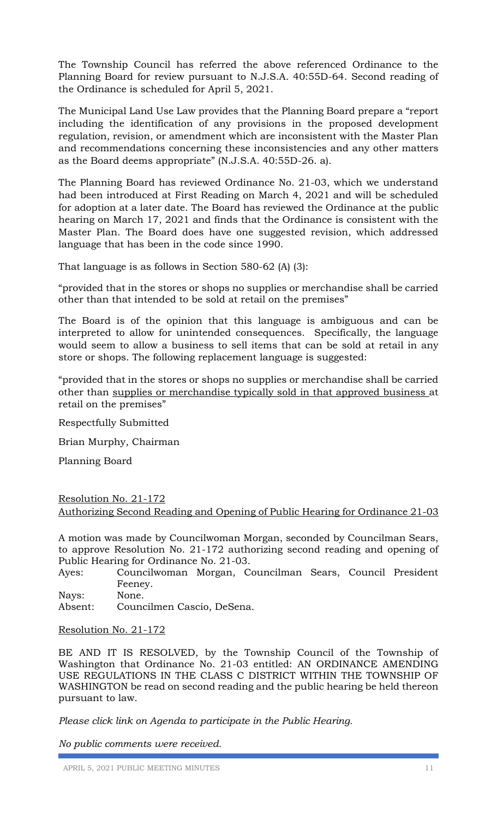The Township Council has referred the above referenced Ordinance to the Planning Board for review pursuant to N.J.S.A. 40:55D-64. Second reading of the Ordinance is scheduled for April 5, 2021.

The Municipal Land Use Law provides that the Planning Board prepare a "report including the identification of any provisions in the proposed development regulation, revision, or amendment which are inconsistent with the Master Plan and recommendations concerning these inconsistencies and any other matters as the Board deems appropriate" (N.J.S.A. 40:55D-26. a).

The Planning Board has reviewed Ordinance No. 21-03, which we understand had been introduced at First Reading on March 4, 2021 and will be scheduled for adoption at a later date. The Board has reviewed the Ordinance at the public hearing on March 17, 2021 and finds that the Ordinance is consistent with the Master Plan. The Board does have one suggested revision, which addressed language that has been in the code since 1990.

That language is as follows in Section 580-62 (A) (3):

"provided that in the stores or shops no supplies or merchandise shall be carried other than that intended to be sold at retail on the premises"

The Board is of the opinion that this language is ambiguous and can be interpreted to allow for unintended consequences. Specifically, the language would seem to allow a business to sell items that can be sold at retail in any store or shops. The following replacement language is suggested:

"provided that in the stores or shops no supplies or merchandise shall be carried other than supplies or merchandise typically sold in that approved business at retail on the premises"

Respectfully Submitted

Brian Murphy, Chairman

Planning Board

## Resolution No. 21-172 Authorizing Second Reading and Opening of Public Hearing for Ordinance 21-03

A motion was made by Councilwoman Morgan, seconded by Councilman Sears, to approve Resolution No. 21-172 authorizing second reading and opening of Public Hearing for Ordinance No. 21-03.

Ayes: Councilwoman Morgan, Councilman Sears, Council President Feeney.

Nays: None.

Absent: Councilmen Cascio, DeSena.

## Resolution No. 21-172

BE AND IT IS RESOLVED, by the Township Council of the Township of Washington that Ordinance No. 21-03 entitled: AN ORDINANCE AMENDING USE REGULATIONS IN THE CLASS C DISTRICT WITHIN THE TOWNSHIP OF WASHINGTON be read on second reading and the public hearing be held thereon pursuant to law.

*Please click link on Agenda to participate in the Public Hearing.*

*No public comments were received.*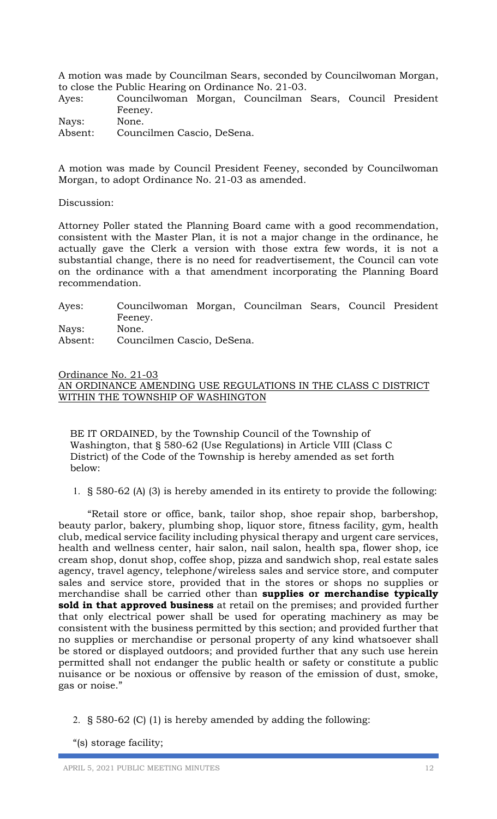A motion was made by Councilman Sears, seconded by Councilwoman Morgan, to close the Public Hearing on Ordinance No. 21-03.

Ayes: Councilwoman Morgan, Councilman Sears, Council President Feeney.

Nays: None. Absent: Councilmen Cascio, DeSena.

A motion was made by Council President Feeney, seconded by Councilwoman Morgan, to adopt Ordinance No. 21-03 as amended.

Discussion:

Attorney Poller stated the Planning Board came with a good recommendation, consistent with the Master Plan, it is not a major change in the ordinance, he actually gave the Clerk a version with those extra few words, it is not a substantial change, there is no need for readvertisement, the Council can vote on the ordinance with a that amendment incorporating the Planning Board recommendation.

| Ayes:   | Councilwoman Morgan, Councilman Sears, Council President |  |  |  |
|---------|----------------------------------------------------------|--|--|--|
|         | Feeney.                                                  |  |  |  |
| Nays:   | None.                                                    |  |  |  |
| Absent: | Councilmen Cascio, DeSena.                               |  |  |  |

Ordinance No. 21-03

AN ORDINANCE AMENDING USE REGULATIONS IN THE CLASS C DISTRICT WITHIN THE TOWNSHIP OF WASHINGTON

BE IT ORDAINED, by the Township Council of the Township of Washington, that § 580-62 (Use Regulations) in Article VIII (Class C District) of the Code of the Township is hereby amended as set forth below:

1. § 580-62 (A) (3) is hereby amended in its entirety to provide the following:

"Retail store or office, bank, tailor shop, shoe repair shop, barbershop, beauty parlor, bakery, plumbing shop, liquor store, fitness facility, gym, health club, medical service facility including physical therapy and urgent care services, health and wellness center, hair salon, nail salon, health spa, flower shop, ice cream shop, donut shop, coffee shop, pizza and sandwich shop, real estate sales agency, travel agency, telephone/wireless sales and service store, and computer sales and service store, provided that in the stores or shops no supplies or merchandise shall be carried other than **supplies or merchandise typically sold in that approved business** at retail on the premises; and provided further that only electrical power shall be used for operating machinery as may be consistent with the business permitted by this section; and provided further that no supplies or merchandise or personal property of any kind whatsoever shall be stored or displayed outdoors; and provided further that any such use herein permitted shall not endanger the public health or safety or constitute a public nuisance or be noxious or offensive by reason of the emission of dust, smoke, gas or noise."

2. § 580-62 (C) (1) is hereby amended by adding the following:

"(s) storage facility;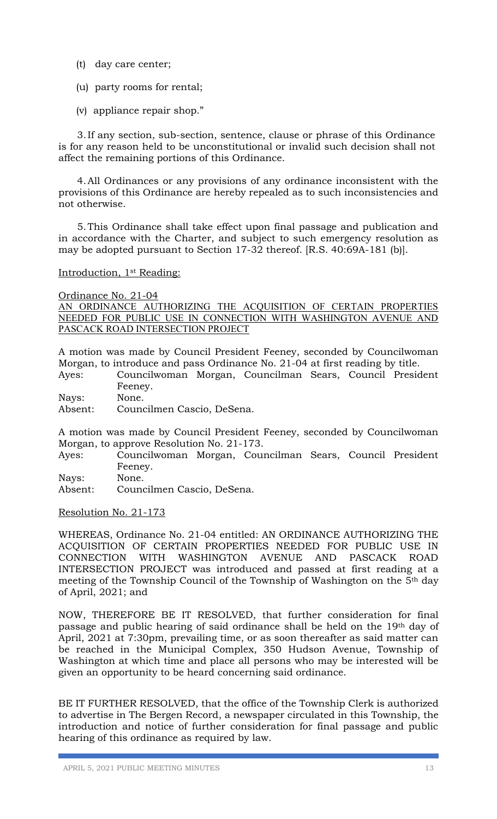- (t) day care center;
- (u) party rooms for rental;
- (v) appliance repair shop."

 3.If any section, sub-section, sentence, clause or phrase of this Ordinance is for any reason held to be unconstitutional or invalid such decision shall not affect the remaining portions of this Ordinance.

 4.All Ordinances or any provisions of any ordinance inconsistent with the provisions of this Ordinance are hereby repealed as to such inconsistencies and not otherwise.

 5.This Ordinance shall take effect upon final passage and publication and in accordance with the Charter, and subject to such emergency resolution as may be adopted pursuant to Section 17-32 thereof. [R.S. 40:69A-181 (b)].

#### Introduction, 1st Reading:

Ordinance No. 21-04

AN ORDINANCE AUTHORIZING THE ACQUISITION OF CERTAIN PROPERTIES NEEDED FOR PUBLIC USE IN CONNECTION WITH WASHINGTON AVENUE AND PASCACK ROAD INTERSECTION PROJECT

A motion was made by Council President Feeney, seconded by Councilwoman Morgan, to introduce and pass Ordinance No. 21-04 at first reading by title.

- Ayes: Councilwoman Morgan, Councilman Sears, Council President Feeney.
- Nays: None.
- Absent: Councilmen Cascio, DeSena.

A motion was made by Council President Feeney, seconded by Councilwoman Morgan, to approve Resolution No. 21-173.

Ayes: Councilwoman Morgan, Councilman Sears, Council President Feeney.

Nays: None. Absent: Councilmen Cascio, DeSena.

Resolution No. 21-173

WHEREAS, Ordinance No. 21-04 entitled: AN ORDINANCE AUTHORIZING THE ACQUISITION OF CERTAIN PROPERTIES NEEDED FOR PUBLIC USE IN CONNECTION WITH WASHINGTON AVENUE AND PASCACK ROAD INTERSECTION PROJECT was introduced and passed at first reading at a meeting of the Township Council of the Township of Washington on the 5th day of April, 2021; and

NOW, THEREFORE BE IT RESOLVED, that further consideration for final passage and public hearing of said ordinance shall be held on the 19th day of April, 2021 at 7:30pm, prevailing time, or as soon thereafter as said matter can be reached in the Municipal Complex, 350 Hudson Avenue, Township of Washington at which time and place all persons who may be interested will be given an opportunity to be heard concerning said ordinance.

BE IT FURTHER RESOLVED, that the office of the Township Clerk is authorized to advertise in The Bergen Record, a newspaper circulated in this Township, the introduction and notice of further consideration for final passage and public hearing of this ordinance as required by law.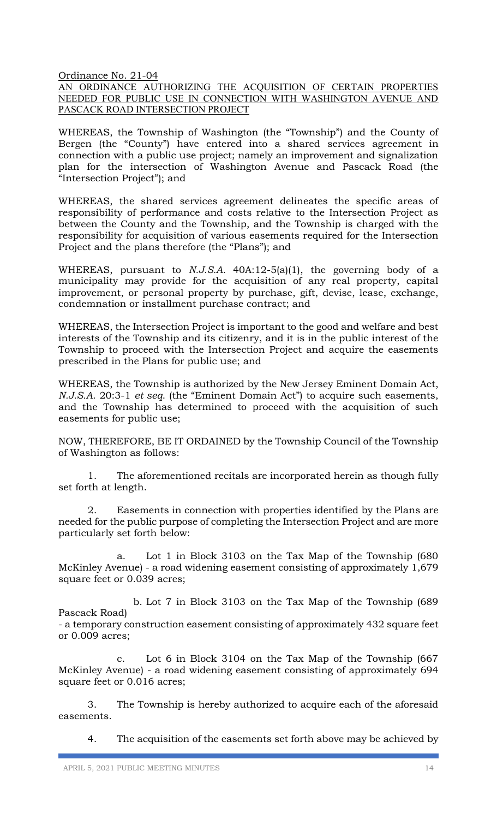Ordinance No. 21-04

AN ORDINANCE AUTHORIZING THE ACQUISITION OF CERTAIN PROPERTIES NEEDED FOR PUBLIC USE IN CONNECTION WITH WASHINGTON AVENUE AND PASCACK ROAD INTERSECTION PROJECT

WHEREAS, the Township of Washington (the "Township") and the County of Bergen (the "County") have entered into a shared services agreement in connection with a public use project; namely an improvement and signalization plan for the intersection of Washington Avenue and Pascack Road (the "Intersection Project"); and

WHEREAS, the shared services agreement delineates the specific areas of responsibility of performance and costs relative to the Intersection Project as between the County and the Township, and the Township is charged with the responsibility for acquisition of various easements required for the Intersection Project and the plans therefore (the "Plans"); and

WHEREAS, pursuant to *N.J.S.A.* 40A:12-5(a)(1), the governing body of a municipality may provide for the acquisition of any real property, capital improvement, or personal property by purchase, gift, devise, lease, exchange, condemnation or installment purchase contract; and

WHEREAS, the Intersection Project is important to the good and welfare and best interests of the Township and its citizenry, and it is in the public interest of the Township to proceed with the Intersection Project and acquire the easements prescribed in the Plans for public use; and

WHEREAS, the Township is authorized by the New Jersey Eminent Domain Act, *N.J.S.A*. 20:3-1 *et seq*. (the "Eminent Domain Act") to acquire such easements, and the Township has determined to proceed with the acquisition of such easements for public use;

NOW, THEREFORE, BE IT ORDAINED by the Township Council of the Township of Washington as follows:

1. The aforementioned recitals are incorporated herein as though fully set forth at length.

2. Easements in connection with properties identified by the Plans are needed for the public purpose of completing the Intersection Project and are more particularly set forth below:

a. Lot 1 in Block 3103 on the Tax Map of the Township (680 McKinley Avenue) - a road widening easement consisting of approximately 1,679 square feet or 0.039 acres;

 b. Lot 7 in Block 3103 on the Tax Map of the Township (689 Pascack Road) - a temporary construction easement consisting of approximately 432 square feet or 0.009 acres;

c. Lot 6 in Block 3104 on the Tax Map of the Township (667 McKinley Avenue) - a road widening easement consisting of approximately 694 square feet or 0.016 acres;

3. The Township is hereby authorized to acquire each of the aforesaid easements.

4. The acquisition of the easements set forth above may be achieved by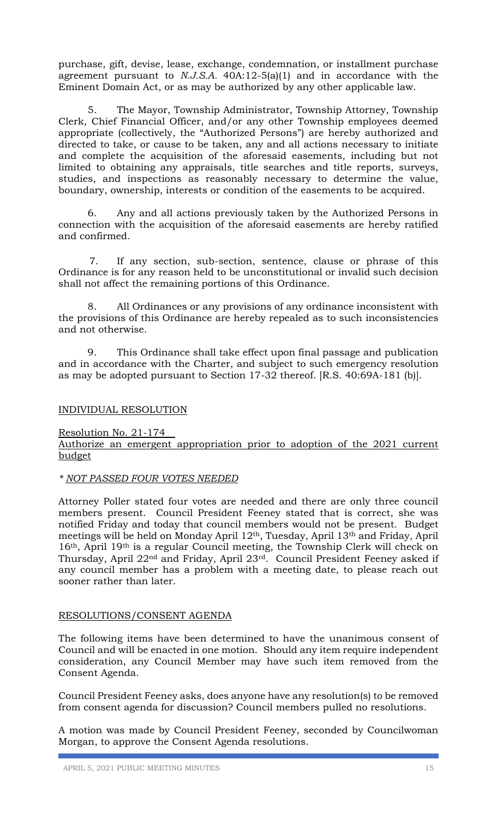purchase, gift, devise, lease, exchange, condemnation, or installment purchase agreement pursuant to *N.J.S.A.* 40A:12-5(a)(1) and in accordance with the Eminent Domain Act, or as may be authorized by any other applicable law.

5. The Mayor, Township Administrator, Township Attorney, Township Clerk, Chief Financial Officer, and/or any other Township employees deemed appropriate (collectively, the "Authorized Persons") are hereby authorized and directed to take, or cause to be taken, any and all actions necessary to initiate and complete the acquisition of the aforesaid easements, including but not limited to obtaining any appraisals, title searches and title reports, surveys, studies, and inspections as reasonably necessary to determine the value, boundary, ownership, interests or condition of the easements to be acquired.

6. Any and all actions previously taken by the Authorized Persons in connection with the acquisition of the aforesaid easements are hereby ratified and confirmed.

7. If any section, sub-section, sentence, clause or phrase of this Ordinance is for any reason held to be unconstitutional or invalid such decision shall not affect the remaining portions of this Ordinance.

8. All Ordinances or any provisions of any ordinance inconsistent with the provisions of this Ordinance are hereby repealed as to such inconsistencies and not otherwise.

9. This Ordinance shall take effect upon final passage and publication and in accordance with the Charter, and subject to such emergency resolution as may be adopted pursuant to Section 17-32 thereof. [R.S. 40:69A-181 (b)].

## INDIVIDUAL RESOLUTION

Resolution No. 21-174

Authorize an emergent appropriation prior to adoption of the 2021 current budget

#### *\* NOT PASSED FOUR VOTES NEEDED*

Attorney Poller stated four votes are needed and there are only three council members present. Council President Feeney stated that is correct, she was notified Friday and today that council members would not be present. Budget meetings will be held on Monday April 12th, Tuesday, April 13th and Friday, April 16th, April 19th is a regular Council meeting, the Township Clerk will check on Thursday, April 22nd and Friday, April 23rd. Council President Feeney asked if any council member has a problem with a meeting date, to please reach out sooner rather than later.

## RESOLUTIONS/CONSENT AGENDA

The following items have been determined to have the unanimous consent of Council and will be enacted in one motion. Should any item require independent consideration, any Council Member may have such item removed from the Consent Agenda.

Council President Feeney asks, does anyone have any resolution(s) to be removed from consent agenda for discussion? Council members pulled no resolutions.

A motion was made by Council President Feeney, seconded by Councilwoman Morgan, to approve the Consent Agenda resolutions.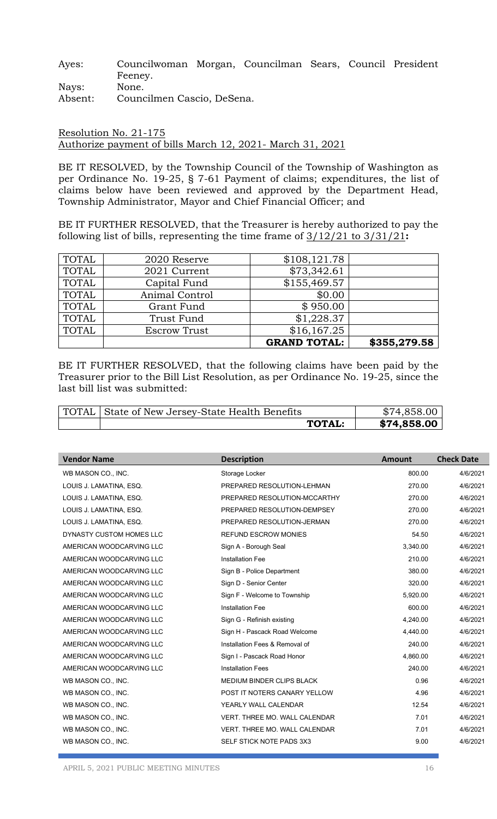Ayes: Councilwoman Morgan, Councilman Sears, Council President Feeney. Nays: None.

Absent: Councilmen Cascio, DeSena.

## Resolution No. 21-175 Authorize payment of bills March 12, 2021- March 31, 2021

BE IT RESOLVED, by the Township Council of the Township of Washington as per Ordinance No. 19-25, § 7-61 Payment of claims; expenditures, the list of claims below have been reviewed and approved by the Department Head, Township Administrator, Mayor and Chief Financial Officer; and

BE IT FURTHER RESOLVED, that the Treasurer is hereby authorized to pay the following list of bills, representing the time frame of 3/12/21 to 3/31/21**:**

|              |                     | <b>GRAND TOTAL:</b> | \$355,279.58 |
|--------------|---------------------|---------------------|--------------|
| <b>TOTAL</b> | <b>Escrow Trust</b> | \$16,167.25         |              |
| TOTAL        | Trust Fund          | \$1,228.37          |              |
| <b>TOTAL</b> | Grant Fund          | \$950.00            |              |
| TOTAL        | Animal Control      | \$0.00              |              |
| TOTAL        | Capital Fund        | \$155,469.57        |              |
| <b>TOTAL</b> | 2021 Current        | \$73,342.61         |              |
| <b>TOTAL</b> | 2020 Reserve        | \$108,121.78        |              |

BE IT FURTHER RESOLVED, that the following claims have been paid by the Treasurer prior to the Bill List Resolution, as per Ordinance No. 19-25, since the last bill list was submitted:

| TOTAL   State of New Jersey-State Health Benefits |               | \$74,858.00 |
|---------------------------------------------------|---------------|-------------|
|                                                   | <b>TOTAL:</b> | \$74,858.00 |

| <b>Vendor Name</b>       | <b>Description</b>               | <b>Amount</b> | <b>Check Date</b> |
|--------------------------|----------------------------------|---------------|-------------------|
| WB MASON CO., INC.       | Storage Locker                   | 800.00        | 4/6/2021          |
| LOUIS J. LAMATINA, ESQ.  | PREPARED RESOLUTION-LEHMAN       | 270.00        | 4/6/2021          |
| LOUIS J. LAMATINA, ESQ.  | PREPARED RESOLUTION-MCCARTHY     | 270.00        | 4/6/2021          |
| LOUIS J. LAMATINA, ESQ.  | PREPARED RESOLUTION-DEMPSEY      | 270.00        | 4/6/2021          |
| LOUIS J. LAMATINA, ESQ.  | PREPARED RESOLUTION-JERMAN       | 270.00        | 4/6/2021          |
| DYNASTY CUSTOM HOMES LLC | <b>REFUND ESCROW MONIES</b>      | 54.50         | 4/6/2021          |
| AMERICAN WOODCARVING LLC | Sign A - Borough Seal            | 3,340.00      | 4/6/2021          |
| AMERICAN WOODCARVING LLC | <b>Installation Fee</b>          | 210.00        | 4/6/2021          |
| AMERICAN WOODCARVING LLC | Sign B - Police Department       | 380.00        | 4/6/2021          |
| AMERICAN WOODCARVING LLC | Sign D - Senior Center           | 320.00        | 4/6/2021          |
| AMERICAN WOODCARVING LLC | Sign F - Welcome to Township     | 5,920.00      | 4/6/2021          |
| AMERICAN WOODCARVING LLC | <b>Installation Fee</b>          | 600.00        | 4/6/2021          |
| AMERICAN WOODCARVING LLC | Sign G - Refinish existing       | 4,240.00      | 4/6/2021          |
| AMERICAN WOODCARVING LLC | Sign H - Pascack Road Welcome    | 4,440.00      | 4/6/2021          |
| AMERICAN WOODCARVING LLC | Installation Fees & Removal of   | 240.00        | 4/6/2021          |
| AMERICAN WOODCARVING LLC | Sign I - Pascack Road Honor      | 4,860.00      | 4/6/2021          |
| AMERICAN WOODCARVING LLC | <b>Installation Fees</b>         | 240.00        | 4/6/2021          |
| WB MASON CO., INC.       | <b>MEDIUM BINDER CLIPS BLACK</b> | 0.96          | 4/6/2021          |
| WB MASON CO., INC.       | POST IT NOTERS CANARY YELLOW     | 4.96          | 4/6/2021          |
| WB MASON CO., INC.       | YEARLY WALL CALENDAR             | 12.54         | 4/6/2021          |
| WB MASON CO., INC.       | VERT. THREE MO. WALL CALENDAR    | 7.01          | 4/6/2021          |
| WB MASON CO., INC.       | VERT. THREE MO. WALL CALENDAR    | 7.01          | 4/6/2021          |
| WB MASON CO., INC.       | SELF STICK NOTE PADS 3X3         | 9.00          | 4/6/2021          |
|                          |                                  |               |                   |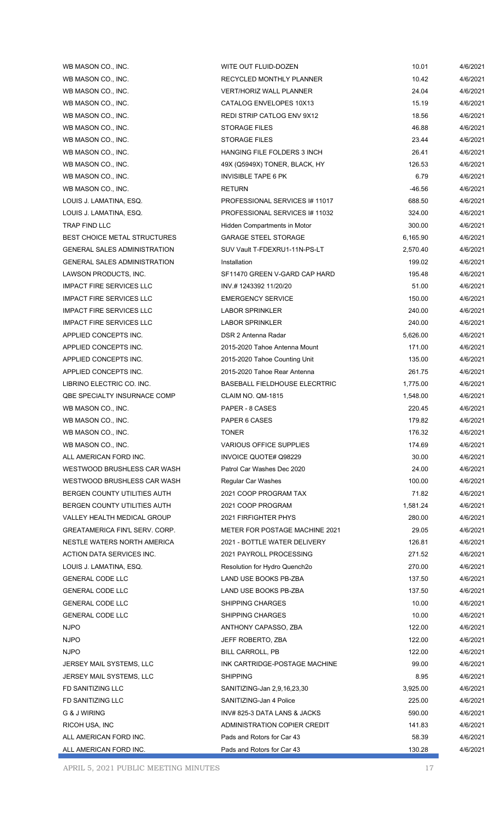| WB MASON CO., INC.                    | WITE OUT FLUID-DOZEN                 | 10.01    | 4/6/2021 |
|---------------------------------------|--------------------------------------|----------|----------|
| WB MASON CO., INC.                    | RECYCLED MONTHLY PLANNER             | 10.42    | 4/6/2021 |
| WB MASON CO., INC.                    | <b>VERT/HORIZ WALL PLANNER</b>       | 24.04    | 4/6/2021 |
| WB MASON CO., INC.                    | CATALOG ENVELOPES 10X13              | 15.19    | 4/6/2021 |
| WB MASON CO., INC.                    | REDI STRIP CATLOG ENV 9X12           | 18.56    | 4/6/2021 |
| WB MASON CO., INC.                    | <b>STORAGE FILES</b>                 | 46.88    | 4/6/2021 |
| WB MASON CO., INC.                    | <b>STORAGE FILES</b>                 | 23.44    | 4/6/2021 |
| WB MASON CO., INC.                    | <b>HANGING FILE FOLDERS 3 INCH</b>   | 26.41    | 4/6/2021 |
| WB MASON CO., INC.                    | 49X (Q5949X) TONER, BLACK, HY        | 126.53   | 4/6/2021 |
| WB MASON CO., INC.                    | <b>INVISIBLE TAPE 6 PK</b>           | 6.79     | 4/6/2021 |
| WB MASON CO., INC.                    | <b>RETURN</b>                        | -46.56   | 4/6/2021 |
| LOUIS J. LAMATINA, ESQ.               | PROFESSIONAL SERVICES # 11017        | 688.50   | 4/6/2021 |
| LOUIS J. LAMATINA, ESQ.               | PROFESSIONAL SERVICES # 11032        | 324.00   | 4/6/2021 |
| TRAP FIND LLC                         | Hidden Compartments in Motor         | 300.00   | 4/6/2021 |
| <b>BEST CHOICE METAL STRUCTURES</b>   | <b>GARAGE STEEL STORAGE</b>          | 6,165.90 | 4/6/2021 |
| <b>GENERAL SALES ADMINISTRATION</b>   | SUV Vault T-FDEXRU1-11N-PS-LT        | 2,570.40 | 4/6/2021 |
| <b>GENERAL SALES ADMINISTRATION</b>   | Installation                         | 199.02   | 4/6/2021 |
| LAWSON PRODUCTS, INC.                 | SF11470 GREEN V-GARD CAP HARD        | 195.48   | 4/6/2021 |
| <b>IMPACT FIRE SERVICES LLC</b>       | INV #1243392 11/20/20                | 51.00    | 4/6/2021 |
| <b>IMPACT FIRE SERVICES LLC</b>       | <b>EMERGENCY SERVICE</b>             | 150.00   | 4/6/2021 |
|                                       |                                      |          |          |
| <b>IMPACT FIRE SERVICES LLC</b>       | LABOR SPRINKLER                      | 240.00   | 4/6/2021 |
| <b>IMPACT FIRE SERVICES LLC</b>       | <b>LABOR SPRINKLER</b>               | 240.00   | 4/6/2021 |
| APPLIED CONCEPTS INC.                 | DSR 2 Antenna Radar                  | 5,626.00 | 4/6/2021 |
| APPLIED CONCEPTS INC.                 | 2015-2020 Tahoe Antenna Mount        | 171.00   | 4/6/2021 |
| APPLIED CONCEPTS INC.                 | 2015-2020 Tahoe Counting Unit        | 135.00   | 4/6/2021 |
| APPLIED CONCEPTS INC.                 | 2015-2020 Tahoe Rear Antenna         | 261.75   | 4/6/2021 |
| LIBRINO ELECTRIC CO. INC.             | <b>BASEBALL FIELDHOUSE ELECRTRIC</b> | 1,775.00 | 4/6/2021 |
| QBE SPECIALTY INSURNACE COMP          | CLAIM NO. QM-1815                    | 1,548.00 | 4/6/2021 |
| WB MASON CO., INC.                    | PAPER - 8 CASES                      | 220.45   | 4/6/2021 |
| WB MASON CO., INC.                    | PAPER 6 CASES                        | 179.82   | 4/6/2021 |
| WB MASON CO., INC.                    | <b>TONER</b>                         | 176.32   | 4/6/2021 |
| WB MASON CO., INC.                    | <b>VARIOUS OFFICE SUPPLIES</b>       | 174.69   | 4/6/2021 |
| ALL AMERICAN FORD INC.                | INVOICE QUOTE# Q98229                | 30.00    | 4/6/2021 |
| WESTWOOD BRUSHLESS CAR WASH           | Patrol Car Washes Dec 2020           | 24.00    | 4/6/2021 |
| WESTWOOD BRUSHLESS CAR WASH           | <b>Regular Car Washes</b>            | 100.00   | 4/6/2021 |
| BERGEN COUNTY UTILITIES AUTH          | 2021 COOP PROGRAM TAX                | 71.82    | 4/6/2021 |
| BERGEN COUNTY UTILITIES AUTH          | 2021 COOP PROGRAM                    | 1,581.24 | 4/6/2021 |
| <b>VALLEY HEALTH MEDICAL GROUP</b>    | 2021 FIRFIGHTER PHYS                 | 280.00   | 4/6/2021 |
| <b>GREATAMERICA FIN'L SERV. CORP.</b> | METER FOR POSTAGE MACHINE 2021       | 29.05    | 4/6/2021 |
| NESTLE WATERS NORTH AMERICA           | 2021 - BOTTLE WATER DELIVERY         | 126.81   | 4/6/2021 |
| ACTION DATA SERVICES INC.             | 2021 PAYROLL PROCESSING              | 271.52   | 4/6/2021 |
| LOUIS J. LAMATINA, ESQ.               | Resolution for Hydro Quench2o        | 270.00   | 4/6/2021 |
| <b>GENERAL CODE LLC</b>               | LAND USE BOOKS PB-ZBA                | 137.50   | 4/6/2021 |
| <b>GENERAL CODE LLC</b>               | LAND USE BOOKS PB-ZBA                | 137.50   | 4/6/2021 |
| <b>GENERAL CODE LLC</b>               | <b>SHIPPING CHARGES</b>              | 10.00    | 4/6/2021 |
| <b>GENERAL CODE LLC</b>               | <b>SHIPPING CHARGES</b>              | 10.00    | 4/6/2021 |
| <b>NJPO</b>                           | ANTHONY CAPASSO, ZBA                 | 122.00   | 4/6/2021 |
| <b>NJPO</b>                           | JEFF ROBERTO, ZBA                    | 122.00   | 4/6/2021 |
| <b>NJPO</b>                           | BILL CARROLL, PB                     | 122.00   | 4/6/2021 |
| JERSEY MAIL SYSTEMS, LLC              | INK CARTRIDGE-POSTAGE MACHINE        | 99.00    | 4/6/2021 |
| JERSEY MAIL SYSTEMS, LLC              | <b>SHIPPING</b>                      | 8.95     | 4/6/2021 |
| FD SANITIZING LLC                     | SANITIZING-Jan 2,9,16,23,30          | 3,925.00 | 4/6/2021 |
| FD SANITIZING LLC                     | SANITIZING-Jan 4 Police              | 225.00   | 4/6/2021 |
| G & J WIRING                          | INV# 825-3 DATA LANS & JACKS         | 590.00   | 4/6/2021 |
| RICOH USA, INC                        | ADMINISTRATION COPIER CREDIT         | 141.83   | 4/6/2021 |
| ALL AMERICAN FORD INC.                | Pads and Rotors for Car 43           | 58.39    | 4/6/2021 |
| ALL AMERICAN FORD INC.                | Pads and Rotors for Car 43           | 130.28   | 4/6/2021 |
|                                       |                                      |          |          |

APRIL 5, 2021 PUBLIC MEETING MINUTES 17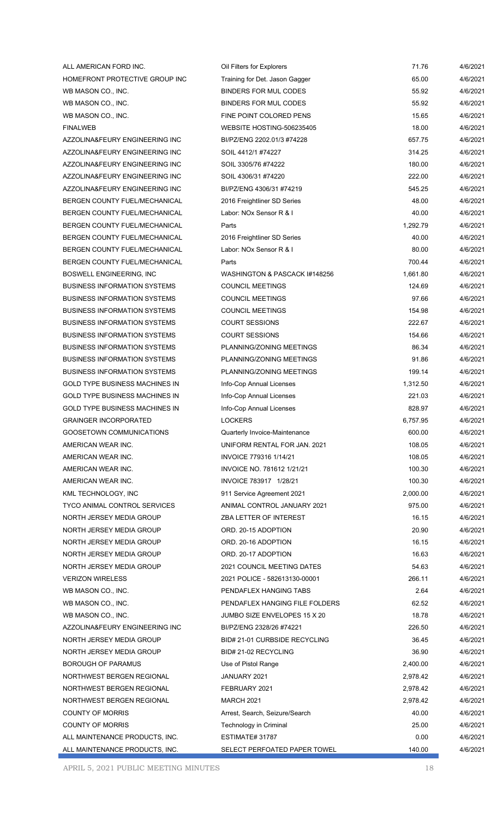| ALL AMERICAN FORD INC.                | Oil Filters for Explorers      | 71.76    | 4/6/2021 |
|---------------------------------------|--------------------------------|----------|----------|
| HOMEFRONT PROTECTIVE GROUP INC        | Training for Det. Jason Gagger | 65.00    | 4/6/2021 |
| WB MASON CO., INC.                    | <b>BINDERS FOR MUL CODES</b>   | 55.92    | 4/6/2021 |
| WB MASON CO., INC.                    | BINDERS FOR MUL CODES          | 55.92    | 4/6/2021 |
| WB MASON CO., INC.                    | FINE POINT COLORED PENS        | 15.65    | 4/6/2021 |
| <b>FINALWEB</b>                       | WEBSITE HOSTING-506235405      | 18.00    | 4/6/2021 |
| AZZOLINA&FEURY ENGINEERING INC        | BI/PZ/ENG 2202.01/3 #74228     | 657.75   | 4/6/2021 |
| AZZOLINA&FEURY ENGINEERING INC        | SOIL 4412/1 #74227             | 314.25   | 4/6/2021 |
| AZZOLINA&FEURY ENGINEERING INC        | SOIL 3305/76 #74222            | 180.00   | 4/6/2021 |
| AZZOLINA&FEURY ENGINEERING INC        | SOIL 4306/31 #74220            | 222.00   | 4/6/2021 |
| AZZOLINA&FEURY ENGINEERING INC        | BI/PZ/ENG 4306/31 #74219       | 545.25   | 4/6/2021 |
| BERGEN COUNTY FUEL/MECHANICAL         | 2016 Freightliner SD Series    | 48.00    | 4/6/2021 |
| BERGEN COUNTY FUEL/MECHANICAL         | Labor: NOx Sensor R & I        | 40.00    | 4/6/2021 |
| BERGEN COUNTY FUEL/MECHANICAL         | Parts                          | 1,292.79 | 4/6/2021 |
| BERGEN COUNTY FUEL/MECHANICAL         | 2016 Freightliner SD Series    | 40.00    | 4/6/2021 |
| BERGEN COUNTY FUEL/MECHANICAL         | Labor: NOx Sensor R & I        | 80.00    | 4/6/2021 |
| BERGEN COUNTY FUEL/MECHANICAL         | Parts                          | 700.44   | 4/6/2021 |
| BOSWELL ENGINEERING, INC              | WASHINGTON & PASCACK #148256   | 1,661.80 | 4/6/2021 |
| <b>BUSINESS INFORMATION SYSTEMS</b>   | <b>COUNCIL MEETINGS</b>        | 124.69   | 4/6/2021 |
| <b>BUSINESS INFORMATION SYSTEMS</b>   | <b>COUNCIL MEETINGS</b>        | 97.66    | 4/6/2021 |
| <b>BUSINESS INFORMATION SYSTEMS</b>   | <b>COUNCIL MEETINGS</b>        | 154.98   | 4/6/2021 |
| <b>BUSINESS INFORMATION SYSTEMS</b>   | <b>COURT SESSIONS</b>          | 222.67   | 4/6/2021 |
| <b>BUSINESS INFORMATION SYSTEMS</b>   | <b>COURT SESSIONS</b>          | 154.66   | 4/6/2021 |
| <b>BUSINESS INFORMATION SYSTEMS</b>   | PLANNING/ZONING MEETINGS       | 86.34    | 4/6/2021 |
| <b>BUSINESS INFORMATION SYSTEMS</b>   | PLANNING/ZONING MEETINGS       | 91.86    | 4/6/2021 |
| <b>BUSINESS INFORMATION SYSTEMS</b>   | PLANNING/ZONING MEETINGS       | 199.14   | 4/6/2021 |
| <b>GOLD TYPE BUSINESS MACHINES IN</b> | Info-Cop Annual Licenses       | 1,312.50 | 4/6/2021 |
| <b>GOLD TYPE BUSINESS MACHINES IN</b> | Info-Cop Annual Licenses       | 221.03   | 4/6/2021 |
| <b>GOLD TYPE BUSINESS MACHINES IN</b> | Info-Cop Annual Licenses       | 828.97   | 4/6/2021 |
| <b>GRAINGER INCORPORATED</b>          | <b>LOCKERS</b>                 | 6,757.95 | 4/6/2021 |
| GOOSETOWN COMMUNICATIONS              | Quarterly Invoice-Maintenance  | 600.00   | 4/6/2021 |
| AMERICAN WEAR INC.                    | UNIFORM RENTAL FOR JAN. 2021   | 108.05   | 4/6/2021 |
| AMERICAN WEAR INC.                    | INVOICE 779316 1/14/21         | 108.05   | 4/6/2021 |
| AMERICAN WEAR INC.                    | INVOICE NO. 781612 1/21/21     | 100.30   | 4/6/2021 |
| AMERICAN WEAR INC.                    | INVOICE 783917 1/28/21         | 100.30   | 4/6/2021 |
| KML TECHNOLOGY, INC                   | 911 Service Agreement 2021     | 2,000.00 | 4/6/2021 |
| <b>TYCO ANIMAL CONTROL SERVICES</b>   | ANIMAL CONTROL JANUARY 2021    | 975.00   | 4/6/2021 |
| NORTH JERSEY MEDIA GROUP              | ZBA LETTER OF INTEREST         | 16.15    | 4/6/2021 |
| NORTH JERSEY MEDIA GROUP              | ORD. 20-15 ADOPTION            | 20.90    | 4/6/2021 |
| NORTH JERSEY MEDIA GROUP              | ORD. 20-16 ADOPTION            | 16.15    | 4/6/2021 |
| NORTH JERSEY MEDIA GROUP              | ORD. 20-17 ADOPTION            | 16.63    | 4/6/2021 |
| NORTH JERSEY MEDIA GROUP              | 2021 COUNCIL MEETING DATES     | 54.63    | 4/6/2021 |
| <b>VERIZON WIRELESS</b>               | 2021 POLICE - 582613130-00001  | 266.11   | 4/6/2021 |
| WB MASON CO., INC.                    | PENDAFLEX HANGING TABS         | 2.64     | 4/6/2021 |
| WB MASON CO., INC.                    | PENDAFLEX HANGING FILE FOLDERS | 62.52    | 4/6/2021 |
| WB MASON CO., INC.                    | JUMBO SIZE ENVELOPES 15 X 20   | 18.78    | 4/6/2021 |
| AZZOLINA&FEURY ENGINEERING INC        | BI/PZ/ENG 2328/26 #74221       | 226.50   | 4/6/2021 |
| NORTH JERSEY MEDIA GROUP              | BID# 21-01 CURBSIDE RECYCLING  | 36.45    | 4/6/2021 |
| NORTH JERSEY MEDIA GROUP              | BID# 21-02 RECYCLING           | 36.90    | 4/6/2021 |
| <b>BOROUGH OF PARAMUS</b>             | Use of Pistol Range            | 2,400.00 | 4/6/2021 |
| NORTHWEST BERGEN REGIONAL             | JANUARY 2021                   | 2,978.42 | 4/6/2021 |
| NORTHWEST BERGEN REGIONAL             | FEBRUARY 2021                  | 2,978.42 | 4/6/2021 |
| NORTHWEST BERGEN REGIONAL             | <b>MARCH 2021</b>              | 2,978.42 | 4/6/2021 |
| <b>COUNTY OF MORRIS</b>               | Arrest, Search, Seizure/Search | 40.00    | 4/6/2021 |
| <b>COUNTY OF MORRIS</b>               | Technology in Criminal         | 25.00    | 4/6/2021 |
| ALL MAINTENANCE PRODUCTS, INC.        | ESTIMATE#31787                 | 0.00     | 4/6/2021 |
| ALL MAINTENANCE PRODUCTS, INC.        | SELECT PERFOATED PAPER TOWEL   | 140.00   | 4/6/2021 |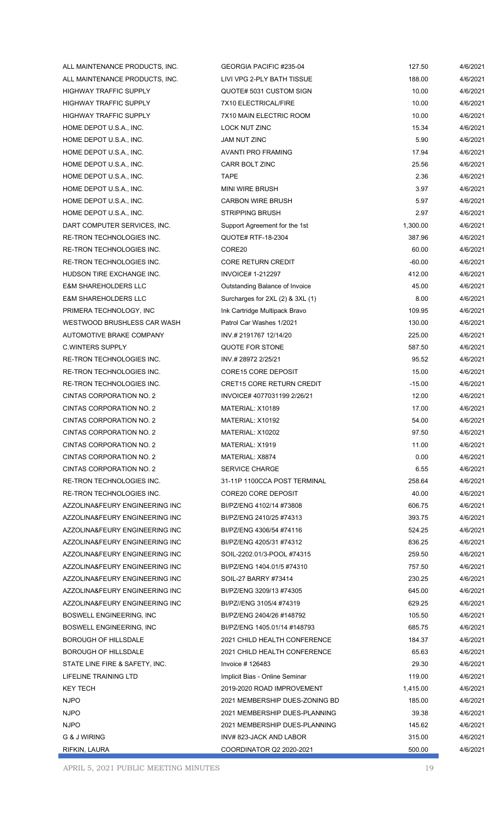| ALL MAINTENANCE PRODUCTS, INC.  | GEORGIA PACIFIC #235-04          | 127.50   | 4/6/2021             |
|---------------------------------|----------------------------------|----------|----------------------|
| ALL MAINTENANCE PRODUCTS, INC.  | LIVI VPG 2-PLY BATH TISSUE       | 188.00   | 4/6/2021             |
| HIGHWAY TRAFFIC SUPPLY          | QUOTE# 5031 CUSTOM SIGN          | 10.00    | 4/6/2021             |
| HIGHWAY TRAFFIC SUPPLY          | 7X10 ELECTRICAL/FIRE             | 10.00    | 4/6/2021             |
| <b>HIGHWAY TRAFFIC SUPPLY</b>   | 7X10 MAIN ELECTRIC ROOM          | 10.00    | 4/6/2021             |
| HOME DEPOT U.S.A., INC.         | LOCK NUT ZINC                    | 15.34    | 4/6/2021             |
| HOME DEPOT U.S.A., INC.         | <b>JAM NUT ZINC</b>              | 5.90     | 4/6/2021             |
| HOME DEPOT U.S.A., INC.         | AVANTI PRO FRAMING               | 17.94    | 4/6/2021             |
| HOME DEPOT U.S.A., INC.         | CARR BOLT ZINC                   | 25.56    | 4/6/2021             |
| HOME DEPOT U.S.A., INC.         | TAPE                             | 2.36     | 4/6/2021             |
| HOME DEPOT U.S.A., INC.         | <b>MINI WIRE BRUSH</b>           | 3.97     | 4/6/2021             |
|                                 | <b>CARBON WIRE BRUSH</b>         | 5.97     | 4/6/2021             |
| HOME DEPOT U.S.A., INC.         |                                  |          |                      |
| HOME DEPOT U.S.A., INC.         | <b>STRIPPING BRUSH</b>           | 2.97     | 4/6/2021<br>4/6/2021 |
| DART COMPUTER SERVICES, INC.    | Support Agreement for the 1st    | 1,300.00 |                      |
| RE-TRON TECHNOLOGIES INC.       | QUOTE# RTF-18-2304               | 387.96   | 4/6/2021             |
| RE-TRON TECHNOLOGIES INC.       | CORE20                           | 60.00    | 4/6/2021             |
| RE-TRON TECHNOLOGIES INC.       | CORE RETURN CREDIT               | $-60.00$ | 4/6/2021             |
| HUDSON TIRE EXCHANGE INC.       | <b>INVOICE# 1-212297</b>         | 412.00   | 4/6/2021             |
| <b>E&amp;M SHAREHOLDERS LLC</b> | Outstanding Balance of Invoice   | 45.00    | 4/6/2021             |
| <b>E&amp;M SHAREHOLDERS LLC</b> | Surcharges for 2XL (2) & 3XL (1) | 8.00     | 4/6/2021             |
| PRIMERA TECHNOLOGY, INC         | Ink Cartridge Multipack Bravo    | 109.95   | 4/6/2021             |
| WESTWOOD BRUSHLESS CAR WASH     | Patrol Car Washes 1/2021         | 130.00   | 4/6/2021             |
| AUTOMOTIVE BRAKE COMPANY        | INV # 2191767 12/14/20           | 225.00   | 4/6/2021             |
| C.WINTERS SUPPLY                | QUOTE FOR STONE                  | 587.50   | 4/6/2021             |
| RE-TRON TECHNOLOGIES INC.       | INV # 28972 2/25/21              | 95.52    | 4/6/2021             |
| RE-TRON TECHNOLOGIES INC.       | CORE15 CORE DEPOSIT              | 15.00    | 4/6/2021             |
| RE-TRON TECHNOLOGIES INC.       | <b>CRET15 CORE RETURN CREDIT</b> | $-15.00$ | 4/6/2021             |
| CINTAS CORPORATION NO. 2        | INVOICE# 4077031199 2/26/21      | 12.00    | 4/6/2021             |
| <b>CINTAS CORPORATION NO. 2</b> | MATERIAL: X10189                 | 17.00    | 4/6/2021             |
| CINTAS CORPORATION NO. 2        | MATERIAL: X10192                 | 54.00    | 4/6/2021             |
| CINTAS CORPORATION NO. 2        | MATERIAL: X10202                 | 97.50    | 4/6/2021             |
| CINTAS CORPORATION NO. 2        | MATERIAL: X1919                  | 11.00    | 4/6/2021             |
| CINTAS CORPORATION NO. 2        | MATERIAL: X8874                  | 0.00     | 4/6/2021             |
| CINTAS CORPORATION NO. 2        | <b>SERVICE CHARGE</b>            | 6.55     | 4/6/2021             |
| RE-TRON TECHNOLOGIES INC.       | 31-11P 1100CCA POST TERMINAL     | 258.64   | 4/6/2021             |
| RE-TRON TECHNOLOGIES INC.       | <b>CORE20 CORE DEPOSIT</b>       | 40.00    | 4/6/2021             |
| AZZOLINA&FEURY ENGINEERING INC  | BI/PZ/ENG 4102/14 #73808         | 606.75   | 4/6/2021             |
| AZZOLINA&FEURY ENGINEERING INC  | BI/PZ/ENG 2410/25 #74313         | 393.75   | 4/6/2021             |
| AZZOLINA&FEURY ENGINEERING INC  | BI/PZ/ENG 4306/54 #74116         | 524.25   | 4/6/2021             |
| AZZOLINA&FEURY ENGINEERING INC  | BI/PZ/ENG 4205/31 #74312         | 836.25   | 4/6/2021             |
| AZZOLINA&FEURY ENGINEERING INC  | SOIL-2202.01/3-POOL #74315       | 259.50   | 4/6/2021             |
| AZZOLINA&FEURY ENGINEERING INC  | BI/PZ/ENG 1404.01/5 #74310       | 757.50   | 4/6/2021             |
| AZZOLINA&FEURY ENGINEERING INC  | SOIL-27 BARRY #73414             | 230.25   | 4/6/2021             |
| AZZOLINA&FEURY ENGINEERING INC  | BI/PZ/ENG 3209/13 #74305         | 645.00   | 4/6/2021             |
| AZZOLINA&FEURY ENGINEERING INC  | BI/PZ//ENG 3105/4 #74319         | 629.25   | 4/6/2021             |
| BOSWELL ENGINEERING, INC        | BI/PZ/ENG 2404/26 #148792        | 105.50   | 4/6/2021             |
| BOSWELL ENGINEERING, INC        | BI/PZ/ENG 1405.01/14 #148793     | 685.75   | 4/6/2021             |
| BOROUGH OF HILLSDALE            | 2021 CHILD HEALTH CONFERENCE     | 184.37   | 4/6/2021             |
| BOROUGH OF HILLSDALE            | 2021 CHILD HEALTH CONFERENCE     | 65.63    | 4/6/2021             |
| STATE LINE FIRE & SAFETY, INC.  | Invoice $#126483$                | 29.30    | 4/6/2021             |
| LIFELINE TRAINING LTD           | Implicit Bias - Online Seminar   | 119.00   | 4/6/2021             |
| KEY TECH                        | 2019-2020 ROAD IMPROVEMENT       | 1,415.00 | 4/6/2021             |
| NJPO                            | 2021 MEMBERSHIP DUES-ZONING BD   | 185.00   | 4/6/2021             |
| NJPO                            | 2021 MEMBERSHIP DUES-PLANNING    | 39.38    | 4/6/2021             |
| NJPO                            | 2021 MEMBERSHIP DUES-PLANNING    | 145.62   | 4/6/2021             |
| G & J WIRING                    | INV# 823-JACK AND LABOR          | 315.00   | 4/6/2021             |
| RIFKIN, LAURA                   | COORDINATOR Q2 2020-2021         | 500.00   | 4/6/2021             |
|                                 |                                  |          |                      |

APRIL 5, 2021 PUBLIC MEETING MINUTES 19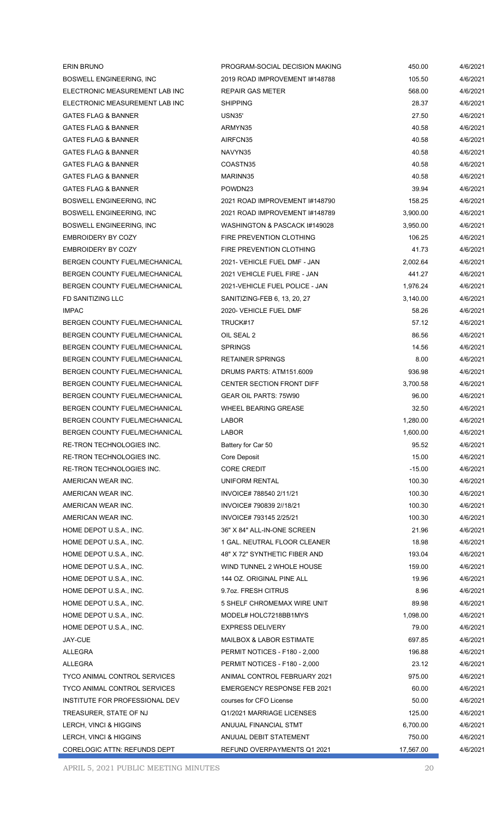| 2019 ROAD IMPROVEMENT #148788<br>4/6/2021<br><b>BOSWELL ENGINEERING, INC.</b><br>105.50<br>ELECTRONIC MEASUREMENT LAB INC<br><b>REPAIR GAS METER</b><br>568.00<br>4/6/2021<br>ELECTRONIC MEASUREMENT LAB INC<br><b>SHIPPING</b><br>28.37<br>4/6/2021<br>27.50<br><b>GATES FLAG &amp; BANNER</b><br>USN35'<br>4/6/2021<br><b>GATES FLAG &amp; BANNER</b><br>40.58<br>4/6/2021<br>ARMYN35<br>AIRFCN35<br>40.58<br><b>GATES FLAG &amp; BANNER</b><br>4/6/2021<br><b>GATES FLAG &amp; BANNER</b><br>NAVYN35<br>40.58<br>4/6/2021<br><b>GATES FLAG &amp; BANNER</b><br>COASTN35<br>40.58<br>4/6/2021<br><b>GATES FLAG &amp; BANNER</b><br>MARINN35<br>40.58<br>4/6/2021<br><b>GATES FLAG &amp; BANNER</b><br>39.94<br>POWDN23<br>4/6/2021<br><b>BOSWELL ENGINEERING, INC</b><br>2021 ROAD IMPROVEMENT #148790<br>158.25<br>4/6/2021<br>2021 ROAD IMPROVEMENT #148789<br><b>BOSWELL ENGINEERING, INC.</b><br>3,900.00<br>4/6/2021<br>BOSWELL ENGINEERING, INC<br>WASHINGTON & PASCACK #149028<br>4/6/2021<br>3,950.00<br>FIRE PREVENTION CLOTHING<br><b>EMBROIDERY BY COZY</b><br>106.25<br>4/6/2021<br><b>EMBROIDERY BY COZY</b><br><b>FIRE PREVENTION CLOTHING</b><br>41.73<br>4/6/2021<br>BERGEN COUNTY FUEL/MECHANICAL<br>2021- VEHICLE FUEL DMF - JAN<br>2,002.64<br>4/6/2021<br>BERGEN COUNTY FUEL/MECHANICAL<br>2021 VEHICLE FUEL FIRE - JAN<br>4/6/2021<br>441.27<br>BERGEN COUNTY FUEL/MECHANICAL<br>2021-VEHICLE FUEL POLICE - JAN<br>1,976.24<br>4/6/2021<br>FD SANITIZING LLC<br>4/6/2021<br>SANITIZING-FEB 6, 13, 20, 27<br>3,140.00<br><b>IMPAC</b><br>58.26<br>2020- VEHICLE FUEL DMF<br>4/6/2021<br>BERGEN COUNTY FUEL/MECHANICAL<br>TRUCK#17<br>57.12<br>4/6/2021<br>BERGEN COUNTY FUEL/MECHANICAL<br>OIL SEAL 2<br>86.56<br>4/6/2021<br><b>BERGEN COUNTY FUEL/MECHANICAL</b><br><b>SPRINGS</b><br>14.56<br>4/6/2021<br><b>RETAINER SPRINGS</b><br>BERGEN COUNTY FUEL/MECHANICAL<br>8.00<br>4/6/2021<br>BERGEN COUNTY FUEL/MECHANICAL<br>DRUMS PARTS: ATM151.6009<br>936.98<br>4/6/2021<br><b>CENTER SECTION FRONT DIFF</b><br>BERGEN COUNTY FUEL/MECHANICAL<br>3,700.58<br>4/6/2021<br>BERGEN COUNTY FUEL/MECHANICAL<br><b>GEAR OIL PARTS: 75W90</b><br>96.00<br>4/6/2021<br>BERGEN COUNTY FUEL/MECHANICAL<br>WHEEL BEARING GREASE<br>32.50<br>4/6/2021<br>BERGEN COUNTY FUEL/MECHANICAL<br><b>LABOR</b><br>1,280.00<br>4/6/2021<br><b>LABOR</b><br>1,600.00<br>4/6/2021<br><b>BERGEN COUNTY FUEL/MECHANICAL</b><br>Battery for Car 50<br>95.52<br>4/6/2021<br>RE-TRON TECHNOLOGIES INC.<br>15.00<br>4/6/2021<br>RE-TRON TECHNOLOGIES INC.<br>Core Deposit<br>RE-TRON TECHNOLOGIES INC.<br><b>CORE CREDIT</b><br>$-15.00$<br>4/6/2021<br>UNIFORM RENTAL<br>100.30<br>AMERICAN WEAR INC.<br>4/6/2021<br>INVOICE# 788540 2/11/21<br>100.30<br>4/6/2021<br>AMERICAN WEAR INC.<br>100.30<br>AMERICAN WEAR INC.<br>INVOICE# 790839 2//18/21<br>4/6/2021<br>AMERICAN WEAR INC.<br>INVOICE# 793145 2/25/21<br>100.30<br>4/6/2021<br>36" X 84" ALL-IN-ONE SCREEN<br>21.96<br>HOME DEPOT U.S.A., INC.<br>4/6/2021<br>HOME DEPOT U.S.A., INC.<br>1 GAL. NEUTRAL FLOOR CLEANER<br>18.98<br>4/6/2021<br>48" X 72" SYNTHETIC FIBER AND<br>193.04<br>HOME DEPOT U.S.A., INC.<br>4/6/2021<br>HOME DEPOT U.S.A., INC.<br>WIND TUNNEL 2 WHOLE HOUSE<br>159.00<br>4/6/2021<br>144 OZ. ORIGINAL PINE ALL<br>19.96<br>HOME DEPOT U.S.A., INC.<br>4/6/2021<br>HOME DEPOT U.S.A., INC.<br>9.7oz. FRESH CITRUS<br>8.96<br>4/6/2021<br>5 SHELF CHROMEMAX WIRE UNIT<br>89.98<br>HOME DEPOT U.S.A., INC.<br>4/6/2021<br>MODEL# HOLC7218BB1MYS<br>1,098.00<br>4/6/2021<br>HOME DEPOT U.S.A., INC.<br>79.00<br>HOME DEPOT U.S.A., INC.<br><b>EXPRESS DELIVERY</b><br>4/6/2021<br><b>JAY-CUE</b><br><b>MAILBOX &amp; LABOR ESTIMATE</b><br>697.85<br>4/6/2021<br><b>ALLEGRA</b><br>PERMIT NOTICES - F180 - 2,000<br>196.88<br>4/6/2021<br><b>ALLEGRA</b><br>PERMIT NOTICES - F180 - 2,000<br>23.12<br>4/6/2021<br>TYCO ANIMAL CONTROL SERVICES<br>ANIMAL CONTROL FEBRUARY 2021<br>975.00<br>4/6/2021<br><b>TYCO ANIMAL CONTROL SERVICES</b><br><b>EMERGENCY RESPONSE FEB 2021</b><br>60.00<br>4/6/2021<br>INSTITUTE FOR PROFESSIONAL DEV<br>courses for CFO License<br>50.00<br>4/6/2021<br>TREASURER, STATE OF NJ<br>Q1/2021 MARRIAGE LICENSES<br>125.00<br>4/6/2021<br>6,700.00<br>LERCH, VINCI & HIGGINS<br>ANUUAL FINANCIAL STMT<br>4/6/2021<br>750.00<br>4/6/2021<br>LERCH, VINCI & HIGGINS<br>ANUUAL DEBIT STATEMENT<br>CORELOGIC ATTN: REFUNDS DEPT<br>REFUND OVERPAYMENTS Q1 2021<br>17,567.00<br>4/6/2021 | <b>ERIN BRUNO</b> | PROGRAM-SOCIAL DECISION MAKING | 450.00 | 4/6/2021 |
|---------------------------------------------------------------------------------------------------------------------------------------------------------------------------------------------------------------------------------------------------------------------------------------------------------------------------------------------------------------------------------------------------------------------------------------------------------------------------------------------------------------------------------------------------------------------------------------------------------------------------------------------------------------------------------------------------------------------------------------------------------------------------------------------------------------------------------------------------------------------------------------------------------------------------------------------------------------------------------------------------------------------------------------------------------------------------------------------------------------------------------------------------------------------------------------------------------------------------------------------------------------------------------------------------------------------------------------------------------------------------------------------------------------------------------------------------------------------------------------------------------------------------------------------------------------------------------------------------------------------------------------------------------------------------------------------------------------------------------------------------------------------------------------------------------------------------------------------------------------------------------------------------------------------------------------------------------------------------------------------------------------------------------------------------------------------------------------------------------------------------------------------------------------------------------------------------------------------------------------------------------------------------------------------------------------------------------------------------------------------------------------------------------------------------------------------------------------------------------------------------------------------------------------------------------------------------------------------------------------------------------------------------------------------------------------------------------------------------------------------------------------------------------------------------------------------------------------------------------------------------------------------------------------------------------------------------------------------------------------------------------------------------------------------------------------------------------------------------------------------------------------------------------------------------------------------------------------------------------------------------------------------------------------------------------------------------------------------------------------------------------------------------------------------------------------------------------------------------------------------------------------------------------------------------------------------------------------------------------------------------------------------------------------------------------------------------------------------------------------------------------------------------------------------------------------------------------------------------------------------------------------------------------------------------------------------------------------------------------------------------------------------------------------------------------------------------------------------------------------------------------------------------------------------------------------------------------------------------------------------------------------------------------------------------------------------------------------------------------------------------------------------------------------------------------------------------------------------------------------------------|-------------------|--------------------------------|--------|----------|
|                                                                                                                                                                                                                                                                                                                                                                                                                                                                                                                                                                                                                                                                                                                                                                                                                                                                                                                                                                                                                                                                                                                                                                                                                                                                                                                                                                                                                                                                                                                                                                                                                                                                                                                                                                                                                                                                                                                                                                                                                                                                                                                                                                                                                                                                                                                                                                                                                                                                                                                                                                                                                                                                                                                                                                                                                                                                                                                                                                                                                                                                                                                                                                                                                                                                                                                                                                                                                                                                                                                                                                                                                                                                                                                                                                                                                                                                                                                                                                                                                                                                                                                                                                                                                                                                                                                                                                                                                                                                                                   |                   |                                |        |          |
|                                                                                                                                                                                                                                                                                                                                                                                                                                                                                                                                                                                                                                                                                                                                                                                                                                                                                                                                                                                                                                                                                                                                                                                                                                                                                                                                                                                                                                                                                                                                                                                                                                                                                                                                                                                                                                                                                                                                                                                                                                                                                                                                                                                                                                                                                                                                                                                                                                                                                                                                                                                                                                                                                                                                                                                                                                                                                                                                                                                                                                                                                                                                                                                                                                                                                                                                                                                                                                                                                                                                                                                                                                                                                                                                                                                                                                                                                                                                                                                                                                                                                                                                                                                                                                                                                                                                                                                                                                                                                                   |                   |                                |        |          |
|                                                                                                                                                                                                                                                                                                                                                                                                                                                                                                                                                                                                                                                                                                                                                                                                                                                                                                                                                                                                                                                                                                                                                                                                                                                                                                                                                                                                                                                                                                                                                                                                                                                                                                                                                                                                                                                                                                                                                                                                                                                                                                                                                                                                                                                                                                                                                                                                                                                                                                                                                                                                                                                                                                                                                                                                                                                                                                                                                                                                                                                                                                                                                                                                                                                                                                                                                                                                                                                                                                                                                                                                                                                                                                                                                                                                                                                                                                                                                                                                                                                                                                                                                                                                                                                                                                                                                                                                                                                                                                   |                   |                                |        |          |
|                                                                                                                                                                                                                                                                                                                                                                                                                                                                                                                                                                                                                                                                                                                                                                                                                                                                                                                                                                                                                                                                                                                                                                                                                                                                                                                                                                                                                                                                                                                                                                                                                                                                                                                                                                                                                                                                                                                                                                                                                                                                                                                                                                                                                                                                                                                                                                                                                                                                                                                                                                                                                                                                                                                                                                                                                                                                                                                                                                                                                                                                                                                                                                                                                                                                                                                                                                                                                                                                                                                                                                                                                                                                                                                                                                                                                                                                                                                                                                                                                                                                                                                                                                                                                                                                                                                                                                                                                                                                                                   |                   |                                |        |          |
|                                                                                                                                                                                                                                                                                                                                                                                                                                                                                                                                                                                                                                                                                                                                                                                                                                                                                                                                                                                                                                                                                                                                                                                                                                                                                                                                                                                                                                                                                                                                                                                                                                                                                                                                                                                                                                                                                                                                                                                                                                                                                                                                                                                                                                                                                                                                                                                                                                                                                                                                                                                                                                                                                                                                                                                                                                                                                                                                                                                                                                                                                                                                                                                                                                                                                                                                                                                                                                                                                                                                                                                                                                                                                                                                                                                                                                                                                                                                                                                                                                                                                                                                                                                                                                                                                                                                                                                                                                                                                                   |                   |                                |        |          |
|                                                                                                                                                                                                                                                                                                                                                                                                                                                                                                                                                                                                                                                                                                                                                                                                                                                                                                                                                                                                                                                                                                                                                                                                                                                                                                                                                                                                                                                                                                                                                                                                                                                                                                                                                                                                                                                                                                                                                                                                                                                                                                                                                                                                                                                                                                                                                                                                                                                                                                                                                                                                                                                                                                                                                                                                                                                                                                                                                                                                                                                                                                                                                                                                                                                                                                                                                                                                                                                                                                                                                                                                                                                                                                                                                                                                                                                                                                                                                                                                                                                                                                                                                                                                                                                                                                                                                                                                                                                                                                   |                   |                                |        |          |
|                                                                                                                                                                                                                                                                                                                                                                                                                                                                                                                                                                                                                                                                                                                                                                                                                                                                                                                                                                                                                                                                                                                                                                                                                                                                                                                                                                                                                                                                                                                                                                                                                                                                                                                                                                                                                                                                                                                                                                                                                                                                                                                                                                                                                                                                                                                                                                                                                                                                                                                                                                                                                                                                                                                                                                                                                                                                                                                                                                                                                                                                                                                                                                                                                                                                                                                                                                                                                                                                                                                                                                                                                                                                                                                                                                                                                                                                                                                                                                                                                                                                                                                                                                                                                                                                                                                                                                                                                                                                                                   |                   |                                |        |          |
|                                                                                                                                                                                                                                                                                                                                                                                                                                                                                                                                                                                                                                                                                                                                                                                                                                                                                                                                                                                                                                                                                                                                                                                                                                                                                                                                                                                                                                                                                                                                                                                                                                                                                                                                                                                                                                                                                                                                                                                                                                                                                                                                                                                                                                                                                                                                                                                                                                                                                                                                                                                                                                                                                                                                                                                                                                                                                                                                                                                                                                                                                                                                                                                                                                                                                                                                                                                                                                                                                                                                                                                                                                                                                                                                                                                                                                                                                                                                                                                                                                                                                                                                                                                                                                                                                                                                                                                                                                                                                                   |                   |                                |        |          |
|                                                                                                                                                                                                                                                                                                                                                                                                                                                                                                                                                                                                                                                                                                                                                                                                                                                                                                                                                                                                                                                                                                                                                                                                                                                                                                                                                                                                                                                                                                                                                                                                                                                                                                                                                                                                                                                                                                                                                                                                                                                                                                                                                                                                                                                                                                                                                                                                                                                                                                                                                                                                                                                                                                                                                                                                                                                                                                                                                                                                                                                                                                                                                                                                                                                                                                                                                                                                                                                                                                                                                                                                                                                                                                                                                                                                                                                                                                                                                                                                                                                                                                                                                                                                                                                                                                                                                                                                                                                                                                   |                   |                                |        |          |
|                                                                                                                                                                                                                                                                                                                                                                                                                                                                                                                                                                                                                                                                                                                                                                                                                                                                                                                                                                                                                                                                                                                                                                                                                                                                                                                                                                                                                                                                                                                                                                                                                                                                                                                                                                                                                                                                                                                                                                                                                                                                                                                                                                                                                                                                                                                                                                                                                                                                                                                                                                                                                                                                                                                                                                                                                                                                                                                                                                                                                                                                                                                                                                                                                                                                                                                                                                                                                                                                                                                                                                                                                                                                                                                                                                                                                                                                                                                                                                                                                                                                                                                                                                                                                                                                                                                                                                                                                                                                                                   |                   |                                |        |          |
|                                                                                                                                                                                                                                                                                                                                                                                                                                                                                                                                                                                                                                                                                                                                                                                                                                                                                                                                                                                                                                                                                                                                                                                                                                                                                                                                                                                                                                                                                                                                                                                                                                                                                                                                                                                                                                                                                                                                                                                                                                                                                                                                                                                                                                                                                                                                                                                                                                                                                                                                                                                                                                                                                                                                                                                                                                                                                                                                                                                                                                                                                                                                                                                                                                                                                                                                                                                                                                                                                                                                                                                                                                                                                                                                                                                                                                                                                                                                                                                                                                                                                                                                                                                                                                                                                                                                                                                                                                                                                                   |                   |                                |        |          |
|                                                                                                                                                                                                                                                                                                                                                                                                                                                                                                                                                                                                                                                                                                                                                                                                                                                                                                                                                                                                                                                                                                                                                                                                                                                                                                                                                                                                                                                                                                                                                                                                                                                                                                                                                                                                                                                                                                                                                                                                                                                                                                                                                                                                                                                                                                                                                                                                                                                                                                                                                                                                                                                                                                                                                                                                                                                                                                                                                                                                                                                                                                                                                                                                                                                                                                                                                                                                                                                                                                                                                                                                                                                                                                                                                                                                                                                                                                                                                                                                                                                                                                                                                                                                                                                                                                                                                                                                                                                                                                   |                   |                                |        |          |
|                                                                                                                                                                                                                                                                                                                                                                                                                                                                                                                                                                                                                                                                                                                                                                                                                                                                                                                                                                                                                                                                                                                                                                                                                                                                                                                                                                                                                                                                                                                                                                                                                                                                                                                                                                                                                                                                                                                                                                                                                                                                                                                                                                                                                                                                                                                                                                                                                                                                                                                                                                                                                                                                                                                                                                                                                                                                                                                                                                                                                                                                                                                                                                                                                                                                                                                                                                                                                                                                                                                                                                                                                                                                                                                                                                                                                                                                                                                                                                                                                                                                                                                                                                                                                                                                                                                                                                                                                                                                                                   |                   |                                |        |          |
|                                                                                                                                                                                                                                                                                                                                                                                                                                                                                                                                                                                                                                                                                                                                                                                                                                                                                                                                                                                                                                                                                                                                                                                                                                                                                                                                                                                                                                                                                                                                                                                                                                                                                                                                                                                                                                                                                                                                                                                                                                                                                                                                                                                                                                                                                                                                                                                                                                                                                                                                                                                                                                                                                                                                                                                                                                                                                                                                                                                                                                                                                                                                                                                                                                                                                                                                                                                                                                                                                                                                                                                                                                                                                                                                                                                                                                                                                                                                                                                                                                                                                                                                                                                                                                                                                                                                                                                                                                                                                                   |                   |                                |        |          |
|                                                                                                                                                                                                                                                                                                                                                                                                                                                                                                                                                                                                                                                                                                                                                                                                                                                                                                                                                                                                                                                                                                                                                                                                                                                                                                                                                                                                                                                                                                                                                                                                                                                                                                                                                                                                                                                                                                                                                                                                                                                                                                                                                                                                                                                                                                                                                                                                                                                                                                                                                                                                                                                                                                                                                                                                                                                                                                                                                                                                                                                                                                                                                                                                                                                                                                                                                                                                                                                                                                                                                                                                                                                                                                                                                                                                                                                                                                                                                                                                                                                                                                                                                                                                                                                                                                                                                                                                                                                                                                   |                   |                                |        |          |
|                                                                                                                                                                                                                                                                                                                                                                                                                                                                                                                                                                                                                                                                                                                                                                                                                                                                                                                                                                                                                                                                                                                                                                                                                                                                                                                                                                                                                                                                                                                                                                                                                                                                                                                                                                                                                                                                                                                                                                                                                                                                                                                                                                                                                                                                                                                                                                                                                                                                                                                                                                                                                                                                                                                                                                                                                                                                                                                                                                                                                                                                                                                                                                                                                                                                                                                                                                                                                                                                                                                                                                                                                                                                                                                                                                                                                                                                                                                                                                                                                                                                                                                                                                                                                                                                                                                                                                                                                                                                                                   |                   |                                |        |          |
|                                                                                                                                                                                                                                                                                                                                                                                                                                                                                                                                                                                                                                                                                                                                                                                                                                                                                                                                                                                                                                                                                                                                                                                                                                                                                                                                                                                                                                                                                                                                                                                                                                                                                                                                                                                                                                                                                                                                                                                                                                                                                                                                                                                                                                                                                                                                                                                                                                                                                                                                                                                                                                                                                                                                                                                                                                                                                                                                                                                                                                                                                                                                                                                                                                                                                                                                                                                                                                                                                                                                                                                                                                                                                                                                                                                                                                                                                                                                                                                                                                                                                                                                                                                                                                                                                                                                                                                                                                                                                                   |                   |                                |        |          |
|                                                                                                                                                                                                                                                                                                                                                                                                                                                                                                                                                                                                                                                                                                                                                                                                                                                                                                                                                                                                                                                                                                                                                                                                                                                                                                                                                                                                                                                                                                                                                                                                                                                                                                                                                                                                                                                                                                                                                                                                                                                                                                                                                                                                                                                                                                                                                                                                                                                                                                                                                                                                                                                                                                                                                                                                                                                                                                                                                                                                                                                                                                                                                                                                                                                                                                                                                                                                                                                                                                                                                                                                                                                                                                                                                                                                                                                                                                                                                                                                                                                                                                                                                                                                                                                                                                                                                                                                                                                                                                   |                   |                                |        |          |
|                                                                                                                                                                                                                                                                                                                                                                                                                                                                                                                                                                                                                                                                                                                                                                                                                                                                                                                                                                                                                                                                                                                                                                                                                                                                                                                                                                                                                                                                                                                                                                                                                                                                                                                                                                                                                                                                                                                                                                                                                                                                                                                                                                                                                                                                                                                                                                                                                                                                                                                                                                                                                                                                                                                                                                                                                                                                                                                                                                                                                                                                                                                                                                                                                                                                                                                                                                                                                                                                                                                                                                                                                                                                                                                                                                                                                                                                                                                                                                                                                                                                                                                                                                                                                                                                                                                                                                                                                                                                                                   |                   |                                |        |          |
|                                                                                                                                                                                                                                                                                                                                                                                                                                                                                                                                                                                                                                                                                                                                                                                                                                                                                                                                                                                                                                                                                                                                                                                                                                                                                                                                                                                                                                                                                                                                                                                                                                                                                                                                                                                                                                                                                                                                                                                                                                                                                                                                                                                                                                                                                                                                                                                                                                                                                                                                                                                                                                                                                                                                                                                                                                                                                                                                                                                                                                                                                                                                                                                                                                                                                                                                                                                                                                                                                                                                                                                                                                                                                                                                                                                                                                                                                                                                                                                                                                                                                                                                                                                                                                                                                                                                                                                                                                                                                                   |                   |                                |        |          |
|                                                                                                                                                                                                                                                                                                                                                                                                                                                                                                                                                                                                                                                                                                                                                                                                                                                                                                                                                                                                                                                                                                                                                                                                                                                                                                                                                                                                                                                                                                                                                                                                                                                                                                                                                                                                                                                                                                                                                                                                                                                                                                                                                                                                                                                                                                                                                                                                                                                                                                                                                                                                                                                                                                                                                                                                                                                                                                                                                                                                                                                                                                                                                                                                                                                                                                                                                                                                                                                                                                                                                                                                                                                                                                                                                                                                                                                                                                                                                                                                                                                                                                                                                                                                                                                                                                                                                                                                                                                                                                   |                   |                                |        |          |
|                                                                                                                                                                                                                                                                                                                                                                                                                                                                                                                                                                                                                                                                                                                                                                                                                                                                                                                                                                                                                                                                                                                                                                                                                                                                                                                                                                                                                                                                                                                                                                                                                                                                                                                                                                                                                                                                                                                                                                                                                                                                                                                                                                                                                                                                                                                                                                                                                                                                                                                                                                                                                                                                                                                                                                                                                                                                                                                                                                                                                                                                                                                                                                                                                                                                                                                                                                                                                                                                                                                                                                                                                                                                                                                                                                                                                                                                                                                                                                                                                                                                                                                                                                                                                                                                                                                                                                                                                                                                                                   |                   |                                |        |          |
|                                                                                                                                                                                                                                                                                                                                                                                                                                                                                                                                                                                                                                                                                                                                                                                                                                                                                                                                                                                                                                                                                                                                                                                                                                                                                                                                                                                                                                                                                                                                                                                                                                                                                                                                                                                                                                                                                                                                                                                                                                                                                                                                                                                                                                                                                                                                                                                                                                                                                                                                                                                                                                                                                                                                                                                                                                                                                                                                                                                                                                                                                                                                                                                                                                                                                                                                                                                                                                                                                                                                                                                                                                                                                                                                                                                                                                                                                                                                                                                                                                                                                                                                                                                                                                                                                                                                                                                                                                                                                                   |                   |                                |        |          |
|                                                                                                                                                                                                                                                                                                                                                                                                                                                                                                                                                                                                                                                                                                                                                                                                                                                                                                                                                                                                                                                                                                                                                                                                                                                                                                                                                                                                                                                                                                                                                                                                                                                                                                                                                                                                                                                                                                                                                                                                                                                                                                                                                                                                                                                                                                                                                                                                                                                                                                                                                                                                                                                                                                                                                                                                                                                                                                                                                                                                                                                                                                                                                                                                                                                                                                                                                                                                                                                                                                                                                                                                                                                                                                                                                                                                                                                                                                                                                                                                                                                                                                                                                                                                                                                                                                                                                                                                                                                                                                   |                   |                                |        |          |
|                                                                                                                                                                                                                                                                                                                                                                                                                                                                                                                                                                                                                                                                                                                                                                                                                                                                                                                                                                                                                                                                                                                                                                                                                                                                                                                                                                                                                                                                                                                                                                                                                                                                                                                                                                                                                                                                                                                                                                                                                                                                                                                                                                                                                                                                                                                                                                                                                                                                                                                                                                                                                                                                                                                                                                                                                                                                                                                                                                                                                                                                                                                                                                                                                                                                                                                                                                                                                                                                                                                                                                                                                                                                                                                                                                                                                                                                                                                                                                                                                                                                                                                                                                                                                                                                                                                                                                                                                                                                                                   |                   |                                |        |          |
|                                                                                                                                                                                                                                                                                                                                                                                                                                                                                                                                                                                                                                                                                                                                                                                                                                                                                                                                                                                                                                                                                                                                                                                                                                                                                                                                                                                                                                                                                                                                                                                                                                                                                                                                                                                                                                                                                                                                                                                                                                                                                                                                                                                                                                                                                                                                                                                                                                                                                                                                                                                                                                                                                                                                                                                                                                                                                                                                                                                                                                                                                                                                                                                                                                                                                                                                                                                                                                                                                                                                                                                                                                                                                                                                                                                                                                                                                                                                                                                                                                                                                                                                                                                                                                                                                                                                                                                                                                                                                                   |                   |                                |        |          |
|                                                                                                                                                                                                                                                                                                                                                                                                                                                                                                                                                                                                                                                                                                                                                                                                                                                                                                                                                                                                                                                                                                                                                                                                                                                                                                                                                                                                                                                                                                                                                                                                                                                                                                                                                                                                                                                                                                                                                                                                                                                                                                                                                                                                                                                                                                                                                                                                                                                                                                                                                                                                                                                                                                                                                                                                                                                                                                                                                                                                                                                                                                                                                                                                                                                                                                                                                                                                                                                                                                                                                                                                                                                                                                                                                                                                                                                                                                                                                                                                                                                                                                                                                                                                                                                                                                                                                                                                                                                                                                   |                   |                                |        |          |
|                                                                                                                                                                                                                                                                                                                                                                                                                                                                                                                                                                                                                                                                                                                                                                                                                                                                                                                                                                                                                                                                                                                                                                                                                                                                                                                                                                                                                                                                                                                                                                                                                                                                                                                                                                                                                                                                                                                                                                                                                                                                                                                                                                                                                                                                                                                                                                                                                                                                                                                                                                                                                                                                                                                                                                                                                                                                                                                                                                                                                                                                                                                                                                                                                                                                                                                                                                                                                                                                                                                                                                                                                                                                                                                                                                                                                                                                                                                                                                                                                                                                                                                                                                                                                                                                                                                                                                                                                                                                                                   |                   |                                |        |          |
|                                                                                                                                                                                                                                                                                                                                                                                                                                                                                                                                                                                                                                                                                                                                                                                                                                                                                                                                                                                                                                                                                                                                                                                                                                                                                                                                                                                                                                                                                                                                                                                                                                                                                                                                                                                                                                                                                                                                                                                                                                                                                                                                                                                                                                                                                                                                                                                                                                                                                                                                                                                                                                                                                                                                                                                                                                                                                                                                                                                                                                                                                                                                                                                                                                                                                                                                                                                                                                                                                                                                                                                                                                                                                                                                                                                                                                                                                                                                                                                                                                                                                                                                                                                                                                                                                                                                                                                                                                                                                                   |                   |                                |        |          |
|                                                                                                                                                                                                                                                                                                                                                                                                                                                                                                                                                                                                                                                                                                                                                                                                                                                                                                                                                                                                                                                                                                                                                                                                                                                                                                                                                                                                                                                                                                                                                                                                                                                                                                                                                                                                                                                                                                                                                                                                                                                                                                                                                                                                                                                                                                                                                                                                                                                                                                                                                                                                                                                                                                                                                                                                                                                                                                                                                                                                                                                                                                                                                                                                                                                                                                                                                                                                                                                                                                                                                                                                                                                                                                                                                                                                                                                                                                                                                                                                                                                                                                                                                                                                                                                                                                                                                                                                                                                                                                   |                   |                                |        |          |
|                                                                                                                                                                                                                                                                                                                                                                                                                                                                                                                                                                                                                                                                                                                                                                                                                                                                                                                                                                                                                                                                                                                                                                                                                                                                                                                                                                                                                                                                                                                                                                                                                                                                                                                                                                                                                                                                                                                                                                                                                                                                                                                                                                                                                                                                                                                                                                                                                                                                                                                                                                                                                                                                                                                                                                                                                                                                                                                                                                                                                                                                                                                                                                                                                                                                                                                                                                                                                                                                                                                                                                                                                                                                                                                                                                                                                                                                                                                                                                                                                                                                                                                                                                                                                                                                                                                                                                                                                                                                                                   |                   |                                |        |          |
|                                                                                                                                                                                                                                                                                                                                                                                                                                                                                                                                                                                                                                                                                                                                                                                                                                                                                                                                                                                                                                                                                                                                                                                                                                                                                                                                                                                                                                                                                                                                                                                                                                                                                                                                                                                                                                                                                                                                                                                                                                                                                                                                                                                                                                                                                                                                                                                                                                                                                                                                                                                                                                                                                                                                                                                                                                                                                                                                                                                                                                                                                                                                                                                                                                                                                                                                                                                                                                                                                                                                                                                                                                                                                                                                                                                                                                                                                                                                                                                                                                                                                                                                                                                                                                                                                                                                                                                                                                                                                                   |                   |                                |        |          |
|                                                                                                                                                                                                                                                                                                                                                                                                                                                                                                                                                                                                                                                                                                                                                                                                                                                                                                                                                                                                                                                                                                                                                                                                                                                                                                                                                                                                                                                                                                                                                                                                                                                                                                                                                                                                                                                                                                                                                                                                                                                                                                                                                                                                                                                                                                                                                                                                                                                                                                                                                                                                                                                                                                                                                                                                                                                                                                                                                                                                                                                                                                                                                                                                                                                                                                                                                                                                                                                                                                                                                                                                                                                                                                                                                                                                                                                                                                                                                                                                                                                                                                                                                                                                                                                                                                                                                                                                                                                                                                   |                   |                                |        |          |
|                                                                                                                                                                                                                                                                                                                                                                                                                                                                                                                                                                                                                                                                                                                                                                                                                                                                                                                                                                                                                                                                                                                                                                                                                                                                                                                                                                                                                                                                                                                                                                                                                                                                                                                                                                                                                                                                                                                                                                                                                                                                                                                                                                                                                                                                                                                                                                                                                                                                                                                                                                                                                                                                                                                                                                                                                                                                                                                                                                                                                                                                                                                                                                                                                                                                                                                                                                                                                                                                                                                                                                                                                                                                                                                                                                                                                                                                                                                                                                                                                                                                                                                                                                                                                                                                                                                                                                                                                                                                                                   |                   |                                |        |          |
|                                                                                                                                                                                                                                                                                                                                                                                                                                                                                                                                                                                                                                                                                                                                                                                                                                                                                                                                                                                                                                                                                                                                                                                                                                                                                                                                                                                                                                                                                                                                                                                                                                                                                                                                                                                                                                                                                                                                                                                                                                                                                                                                                                                                                                                                                                                                                                                                                                                                                                                                                                                                                                                                                                                                                                                                                                                                                                                                                                                                                                                                                                                                                                                                                                                                                                                                                                                                                                                                                                                                                                                                                                                                                                                                                                                                                                                                                                                                                                                                                                                                                                                                                                                                                                                                                                                                                                                                                                                                                                   |                   |                                |        |          |
|                                                                                                                                                                                                                                                                                                                                                                                                                                                                                                                                                                                                                                                                                                                                                                                                                                                                                                                                                                                                                                                                                                                                                                                                                                                                                                                                                                                                                                                                                                                                                                                                                                                                                                                                                                                                                                                                                                                                                                                                                                                                                                                                                                                                                                                                                                                                                                                                                                                                                                                                                                                                                                                                                                                                                                                                                                                                                                                                                                                                                                                                                                                                                                                                                                                                                                                                                                                                                                                                                                                                                                                                                                                                                                                                                                                                                                                                                                                                                                                                                                                                                                                                                                                                                                                                                                                                                                                                                                                                                                   |                   |                                |        |          |
|                                                                                                                                                                                                                                                                                                                                                                                                                                                                                                                                                                                                                                                                                                                                                                                                                                                                                                                                                                                                                                                                                                                                                                                                                                                                                                                                                                                                                                                                                                                                                                                                                                                                                                                                                                                                                                                                                                                                                                                                                                                                                                                                                                                                                                                                                                                                                                                                                                                                                                                                                                                                                                                                                                                                                                                                                                                                                                                                                                                                                                                                                                                                                                                                                                                                                                                                                                                                                                                                                                                                                                                                                                                                                                                                                                                                                                                                                                                                                                                                                                                                                                                                                                                                                                                                                                                                                                                                                                                                                                   |                   |                                |        |          |
|                                                                                                                                                                                                                                                                                                                                                                                                                                                                                                                                                                                                                                                                                                                                                                                                                                                                                                                                                                                                                                                                                                                                                                                                                                                                                                                                                                                                                                                                                                                                                                                                                                                                                                                                                                                                                                                                                                                                                                                                                                                                                                                                                                                                                                                                                                                                                                                                                                                                                                                                                                                                                                                                                                                                                                                                                                                                                                                                                                                                                                                                                                                                                                                                                                                                                                                                                                                                                                                                                                                                                                                                                                                                                                                                                                                                                                                                                                                                                                                                                                                                                                                                                                                                                                                                                                                                                                                                                                                                                                   |                   |                                |        |          |
|                                                                                                                                                                                                                                                                                                                                                                                                                                                                                                                                                                                                                                                                                                                                                                                                                                                                                                                                                                                                                                                                                                                                                                                                                                                                                                                                                                                                                                                                                                                                                                                                                                                                                                                                                                                                                                                                                                                                                                                                                                                                                                                                                                                                                                                                                                                                                                                                                                                                                                                                                                                                                                                                                                                                                                                                                                                                                                                                                                                                                                                                                                                                                                                                                                                                                                                                                                                                                                                                                                                                                                                                                                                                                                                                                                                                                                                                                                                                                                                                                                                                                                                                                                                                                                                                                                                                                                                                                                                                                                   |                   |                                |        |          |
|                                                                                                                                                                                                                                                                                                                                                                                                                                                                                                                                                                                                                                                                                                                                                                                                                                                                                                                                                                                                                                                                                                                                                                                                                                                                                                                                                                                                                                                                                                                                                                                                                                                                                                                                                                                                                                                                                                                                                                                                                                                                                                                                                                                                                                                                                                                                                                                                                                                                                                                                                                                                                                                                                                                                                                                                                                                                                                                                                                                                                                                                                                                                                                                                                                                                                                                                                                                                                                                                                                                                                                                                                                                                                                                                                                                                                                                                                                                                                                                                                                                                                                                                                                                                                                                                                                                                                                                                                                                                                                   |                   |                                |        |          |
|                                                                                                                                                                                                                                                                                                                                                                                                                                                                                                                                                                                                                                                                                                                                                                                                                                                                                                                                                                                                                                                                                                                                                                                                                                                                                                                                                                                                                                                                                                                                                                                                                                                                                                                                                                                                                                                                                                                                                                                                                                                                                                                                                                                                                                                                                                                                                                                                                                                                                                                                                                                                                                                                                                                                                                                                                                                                                                                                                                                                                                                                                                                                                                                                                                                                                                                                                                                                                                                                                                                                                                                                                                                                                                                                                                                                                                                                                                                                                                                                                                                                                                                                                                                                                                                                                                                                                                                                                                                                                                   |                   |                                |        |          |
|                                                                                                                                                                                                                                                                                                                                                                                                                                                                                                                                                                                                                                                                                                                                                                                                                                                                                                                                                                                                                                                                                                                                                                                                                                                                                                                                                                                                                                                                                                                                                                                                                                                                                                                                                                                                                                                                                                                                                                                                                                                                                                                                                                                                                                                                                                                                                                                                                                                                                                                                                                                                                                                                                                                                                                                                                                                                                                                                                                                                                                                                                                                                                                                                                                                                                                                                                                                                                                                                                                                                                                                                                                                                                                                                                                                                                                                                                                                                                                                                                                                                                                                                                                                                                                                                                                                                                                                                                                                                                                   |                   |                                |        |          |
|                                                                                                                                                                                                                                                                                                                                                                                                                                                                                                                                                                                                                                                                                                                                                                                                                                                                                                                                                                                                                                                                                                                                                                                                                                                                                                                                                                                                                                                                                                                                                                                                                                                                                                                                                                                                                                                                                                                                                                                                                                                                                                                                                                                                                                                                                                                                                                                                                                                                                                                                                                                                                                                                                                                                                                                                                                                                                                                                                                                                                                                                                                                                                                                                                                                                                                                                                                                                                                                                                                                                                                                                                                                                                                                                                                                                                                                                                                                                                                                                                                                                                                                                                                                                                                                                                                                                                                                                                                                                                                   |                   |                                |        |          |
|                                                                                                                                                                                                                                                                                                                                                                                                                                                                                                                                                                                                                                                                                                                                                                                                                                                                                                                                                                                                                                                                                                                                                                                                                                                                                                                                                                                                                                                                                                                                                                                                                                                                                                                                                                                                                                                                                                                                                                                                                                                                                                                                                                                                                                                                                                                                                                                                                                                                                                                                                                                                                                                                                                                                                                                                                                                                                                                                                                                                                                                                                                                                                                                                                                                                                                                                                                                                                                                                                                                                                                                                                                                                                                                                                                                                                                                                                                                                                                                                                                                                                                                                                                                                                                                                                                                                                                                                                                                                                                   |                   |                                |        |          |
|                                                                                                                                                                                                                                                                                                                                                                                                                                                                                                                                                                                                                                                                                                                                                                                                                                                                                                                                                                                                                                                                                                                                                                                                                                                                                                                                                                                                                                                                                                                                                                                                                                                                                                                                                                                                                                                                                                                                                                                                                                                                                                                                                                                                                                                                                                                                                                                                                                                                                                                                                                                                                                                                                                                                                                                                                                                                                                                                                                                                                                                                                                                                                                                                                                                                                                                                                                                                                                                                                                                                                                                                                                                                                                                                                                                                                                                                                                                                                                                                                                                                                                                                                                                                                                                                                                                                                                                                                                                                                                   |                   |                                |        |          |
|                                                                                                                                                                                                                                                                                                                                                                                                                                                                                                                                                                                                                                                                                                                                                                                                                                                                                                                                                                                                                                                                                                                                                                                                                                                                                                                                                                                                                                                                                                                                                                                                                                                                                                                                                                                                                                                                                                                                                                                                                                                                                                                                                                                                                                                                                                                                                                                                                                                                                                                                                                                                                                                                                                                                                                                                                                                                                                                                                                                                                                                                                                                                                                                                                                                                                                                                                                                                                                                                                                                                                                                                                                                                                                                                                                                                                                                                                                                                                                                                                                                                                                                                                                                                                                                                                                                                                                                                                                                                                                   |                   |                                |        |          |
|                                                                                                                                                                                                                                                                                                                                                                                                                                                                                                                                                                                                                                                                                                                                                                                                                                                                                                                                                                                                                                                                                                                                                                                                                                                                                                                                                                                                                                                                                                                                                                                                                                                                                                                                                                                                                                                                                                                                                                                                                                                                                                                                                                                                                                                                                                                                                                                                                                                                                                                                                                                                                                                                                                                                                                                                                                                                                                                                                                                                                                                                                                                                                                                                                                                                                                                                                                                                                                                                                                                                                                                                                                                                                                                                                                                                                                                                                                                                                                                                                                                                                                                                                                                                                                                                                                                                                                                                                                                                                                   |                   |                                |        |          |
|                                                                                                                                                                                                                                                                                                                                                                                                                                                                                                                                                                                                                                                                                                                                                                                                                                                                                                                                                                                                                                                                                                                                                                                                                                                                                                                                                                                                                                                                                                                                                                                                                                                                                                                                                                                                                                                                                                                                                                                                                                                                                                                                                                                                                                                                                                                                                                                                                                                                                                                                                                                                                                                                                                                                                                                                                                                                                                                                                                                                                                                                                                                                                                                                                                                                                                                                                                                                                                                                                                                                                                                                                                                                                                                                                                                                                                                                                                                                                                                                                                                                                                                                                                                                                                                                                                                                                                                                                                                                                                   |                   |                                |        |          |
|                                                                                                                                                                                                                                                                                                                                                                                                                                                                                                                                                                                                                                                                                                                                                                                                                                                                                                                                                                                                                                                                                                                                                                                                                                                                                                                                                                                                                                                                                                                                                                                                                                                                                                                                                                                                                                                                                                                                                                                                                                                                                                                                                                                                                                                                                                                                                                                                                                                                                                                                                                                                                                                                                                                                                                                                                                                                                                                                                                                                                                                                                                                                                                                                                                                                                                                                                                                                                                                                                                                                                                                                                                                                                                                                                                                                                                                                                                                                                                                                                                                                                                                                                                                                                                                                                                                                                                                                                                                                                                   |                   |                                |        |          |
|                                                                                                                                                                                                                                                                                                                                                                                                                                                                                                                                                                                                                                                                                                                                                                                                                                                                                                                                                                                                                                                                                                                                                                                                                                                                                                                                                                                                                                                                                                                                                                                                                                                                                                                                                                                                                                                                                                                                                                                                                                                                                                                                                                                                                                                                                                                                                                                                                                                                                                                                                                                                                                                                                                                                                                                                                                                                                                                                                                                                                                                                                                                                                                                                                                                                                                                                                                                                                                                                                                                                                                                                                                                                                                                                                                                                                                                                                                                                                                                                                                                                                                                                                                                                                                                                                                                                                                                                                                                                                                   |                   |                                |        |          |
|                                                                                                                                                                                                                                                                                                                                                                                                                                                                                                                                                                                                                                                                                                                                                                                                                                                                                                                                                                                                                                                                                                                                                                                                                                                                                                                                                                                                                                                                                                                                                                                                                                                                                                                                                                                                                                                                                                                                                                                                                                                                                                                                                                                                                                                                                                                                                                                                                                                                                                                                                                                                                                                                                                                                                                                                                                                                                                                                                                                                                                                                                                                                                                                                                                                                                                                                                                                                                                                                                                                                                                                                                                                                                                                                                                                                                                                                                                                                                                                                                                                                                                                                                                                                                                                                                                                                                                                                                                                                                                   |                   |                                |        |          |
|                                                                                                                                                                                                                                                                                                                                                                                                                                                                                                                                                                                                                                                                                                                                                                                                                                                                                                                                                                                                                                                                                                                                                                                                                                                                                                                                                                                                                                                                                                                                                                                                                                                                                                                                                                                                                                                                                                                                                                                                                                                                                                                                                                                                                                                                                                                                                                                                                                                                                                                                                                                                                                                                                                                                                                                                                                                                                                                                                                                                                                                                                                                                                                                                                                                                                                                                                                                                                                                                                                                                                                                                                                                                                                                                                                                                                                                                                                                                                                                                                                                                                                                                                                                                                                                                                                                                                                                                                                                                                                   |                   |                                |        |          |
|                                                                                                                                                                                                                                                                                                                                                                                                                                                                                                                                                                                                                                                                                                                                                                                                                                                                                                                                                                                                                                                                                                                                                                                                                                                                                                                                                                                                                                                                                                                                                                                                                                                                                                                                                                                                                                                                                                                                                                                                                                                                                                                                                                                                                                                                                                                                                                                                                                                                                                                                                                                                                                                                                                                                                                                                                                                                                                                                                                                                                                                                                                                                                                                                                                                                                                                                                                                                                                                                                                                                                                                                                                                                                                                                                                                                                                                                                                                                                                                                                                                                                                                                                                                                                                                                                                                                                                                                                                                                                                   |                   |                                |        |          |
|                                                                                                                                                                                                                                                                                                                                                                                                                                                                                                                                                                                                                                                                                                                                                                                                                                                                                                                                                                                                                                                                                                                                                                                                                                                                                                                                                                                                                                                                                                                                                                                                                                                                                                                                                                                                                                                                                                                                                                                                                                                                                                                                                                                                                                                                                                                                                                                                                                                                                                                                                                                                                                                                                                                                                                                                                                                                                                                                                                                                                                                                                                                                                                                                                                                                                                                                                                                                                                                                                                                                                                                                                                                                                                                                                                                                                                                                                                                                                                                                                                                                                                                                                                                                                                                                                                                                                                                                                                                                                                   |                   |                                |        |          |
|                                                                                                                                                                                                                                                                                                                                                                                                                                                                                                                                                                                                                                                                                                                                                                                                                                                                                                                                                                                                                                                                                                                                                                                                                                                                                                                                                                                                                                                                                                                                                                                                                                                                                                                                                                                                                                                                                                                                                                                                                                                                                                                                                                                                                                                                                                                                                                                                                                                                                                                                                                                                                                                                                                                                                                                                                                                                                                                                                                                                                                                                                                                                                                                                                                                                                                                                                                                                                                                                                                                                                                                                                                                                                                                                                                                                                                                                                                                                                                                                                                                                                                                                                                                                                                                                                                                                                                                                                                                                                                   |                   |                                |        |          |
|                                                                                                                                                                                                                                                                                                                                                                                                                                                                                                                                                                                                                                                                                                                                                                                                                                                                                                                                                                                                                                                                                                                                                                                                                                                                                                                                                                                                                                                                                                                                                                                                                                                                                                                                                                                                                                                                                                                                                                                                                                                                                                                                                                                                                                                                                                                                                                                                                                                                                                                                                                                                                                                                                                                                                                                                                                                                                                                                                                                                                                                                                                                                                                                                                                                                                                                                                                                                                                                                                                                                                                                                                                                                                                                                                                                                                                                                                                                                                                                                                                                                                                                                                                                                                                                                                                                                                                                                                                                                                                   |                   |                                |        |          |
|                                                                                                                                                                                                                                                                                                                                                                                                                                                                                                                                                                                                                                                                                                                                                                                                                                                                                                                                                                                                                                                                                                                                                                                                                                                                                                                                                                                                                                                                                                                                                                                                                                                                                                                                                                                                                                                                                                                                                                                                                                                                                                                                                                                                                                                                                                                                                                                                                                                                                                                                                                                                                                                                                                                                                                                                                                                                                                                                                                                                                                                                                                                                                                                                                                                                                                                                                                                                                                                                                                                                                                                                                                                                                                                                                                                                                                                                                                                                                                                                                                                                                                                                                                                                                                                                                                                                                                                                                                                                                                   |                   |                                |        |          |

APRIL 5, 2021 PUBLIC MEETING MINUTES 20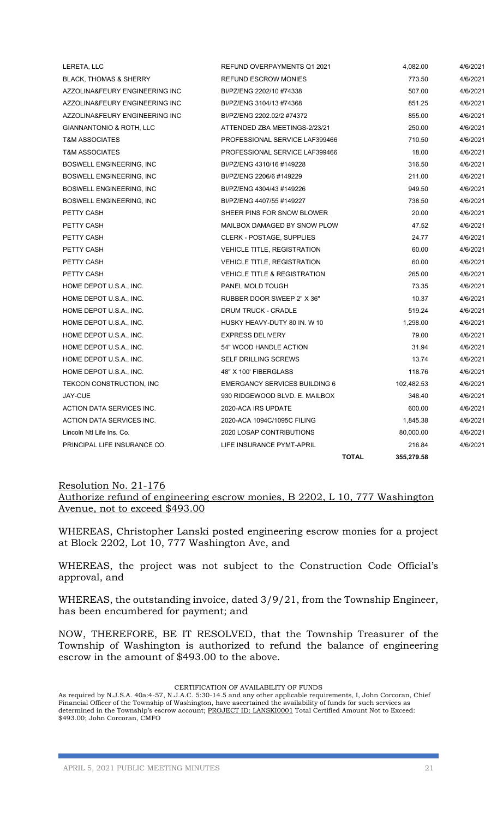|                                   | <b>TOTAL</b>                            | 355,279.58 |          |
|-----------------------------------|-----------------------------------------|------------|----------|
| PRINCIPAL LIFE INSURANCE CO.      | LIFE INSURANCE PYMT-APRIL               | 216.84     | 4/6/2021 |
| Lincoln Ntl Life Ins. Co.         | 2020 LOSAP CONTRIBUTIONS                | 80,000.00  | 4/6/2021 |
| ACTION DATA SERVICES INC.         | 2020-ACA 1094C/1095C FILING             | 1,845.38   | 4/6/2021 |
| ACTION DATA SERVICES INC.         | 2020-ACA IRS UPDATE                     | 600.00     | 4/6/2021 |
| JAY-CUE                           | 930 RIDGEWOOD BLVD. E. MAILBOX          | 348.40     | 4/6/2021 |
| TEKCON CONSTRUCTION, INC          | <b>EMERGANCY SERVICES BUILDING 6</b>    | 102,482.53 | 4/6/2021 |
| HOME DEPOT U.S.A., INC.           | 48" X 100' FIBERGLASS                   | 118.76     | 4/6/2021 |
| HOME DEPOT U.S.A., INC.           | <b>SELF DRILLING SCREWS</b>             | 13.74      | 4/6/2021 |
| HOME DEPOT U.S.A., INC.           | 54" WOOD HANDLE ACTION                  | 31.94      | 4/6/2021 |
| HOME DEPOT U.S.A., INC.           | <b>EXPRESS DELIVERY</b>                 | 79.00      | 4/6/2021 |
| HOME DEPOT U.S.A., INC.           | HUSKY HEAVY-DUTY 80 IN. W 10            | 1,298.00   | 4/6/2021 |
| HOME DEPOT U.S.A., INC.           | DRUM TRUCK - CRADLE                     | 519.24     | 4/6/2021 |
| HOME DEPOT U.S.A., INC.           | RUBBER DOOR SWEEP 2" X 36"              | 10.37      | 4/6/2021 |
| HOME DEPOT U.S.A., INC.           | PANEL MOLD TOUGH                        | 73.35      | 4/6/2021 |
| PETTY CASH                        | <b>VEHICLE TITLE &amp; REGISTRATION</b> | 265.00     | 4/6/2021 |
| PETTY CASH                        | <b>VEHICLE TITLE, REGISTRATION</b>      | 60.00      | 4/6/2021 |
| PETTY CASH                        | <b>VEHICLE TITLE, REGISTRATION</b>      | 60.00      | 4/6/2021 |
| PETTY CASH                        | CLERK - POSTAGE, SUPPLIES               | 24.77      | 4/6/2021 |
| PETTY CASH                        | MAILBOX DAMAGED BY SNOW PLOW            | 47.52      | 4/6/2021 |
| PETTY CASH                        | SHEER PINS FOR SNOW BLOWER              | 20.00      | 4/6/2021 |
| BOSWELL ENGINEERING, INC.         | BI/PZ/ENG 4407/55 #149227               | 738.50     | 4/6/2021 |
| BOSWELL ENGINEERING, INC          | BI/PZ/ENG 4304/43 #149226               | 949.50     | 4/6/2021 |
| BOSWELL ENGINEERING, INC          | BI/PZ/ENG 2206/6 #149229                | 211.00     | 4/6/2021 |
| <b>BOSWELL ENGINEERING, INC.</b>  | BI/PZ/ENG 4310/16 #149228               | 316.50     | 4/6/2021 |
| <b>T&amp;M ASSOCIATES</b>         | PROFESSIONAL SERVICE LAF399466          | 18.00      | 4/6/2021 |
| <b>T&amp;M ASSOCIATES</b>         | PROFESSIONAL SERVICE LAF399466          | 710.50     | 4/6/2021 |
| GIANNANTONIO & ROTH, LLC          | ATTENDED ZBA MEETINGS-2/23/21           | 250.00     | 4/6/2021 |
| AZZOLINA&FEURY ENGINEERING INC    | BI/PZ/ENG 2202.02/2 #74372              | 855.00     | 4/6/2021 |
| AZZOLINA&FEURY ENGINEERING INC    | BI/PZ/ENG 3104/13 #74368                | 851.25     | 4/6/2021 |
| AZZOLINA&FEURY ENGINEERING INC    | BI/PZ/ENG 2202/10 #74338                | 507.00     | 4/6/2021 |
| <b>BLACK, THOMAS &amp; SHERRY</b> | <b>REFUND ESCROW MONIES</b>             | 773.50     | 4/6/2021 |
| LERETA, LLC                       | REFUND OVERPAYMENTS Q1 2021             | 4,082.00   | 4/6/2021 |

## Resolution No. 21-176 Authorize refund of engineering escrow monies, B 2202, L 10, 777 Washington Avenue, not to exceed \$493.00

WHEREAS, Christopher Lanski posted engineering escrow monies for a project at Block 2202, Lot 10, 777 Washington Ave, and

WHEREAS, the project was not subject to the Construction Code Official's approval, and

WHEREAS, the outstanding invoice, dated 3/9/21, from the Township Engineer, has been encumbered for payment; and

NOW, THEREFORE, BE IT RESOLVED, that the Township Treasurer of the Township of Washington is authorized to refund the balance of engineering escrow in the amount of \$493.00 to the above.

#### CERTIFICATION OF AVAILABILITY OF FUNDS

As required by N.J.S.A. 40a:4-57, N.J.A.C. 5:30-14.5 and any other applicable requirements, I, John Corcoran, Chief Financial Officer of the Township of Washington, have ascertained the availability of funds for such services as determined in the Township's escrow account; PROJECT ID: LANSKI0001 Total Certified Amount Not to Exceed: \$493.00; John Corcoran, CMFO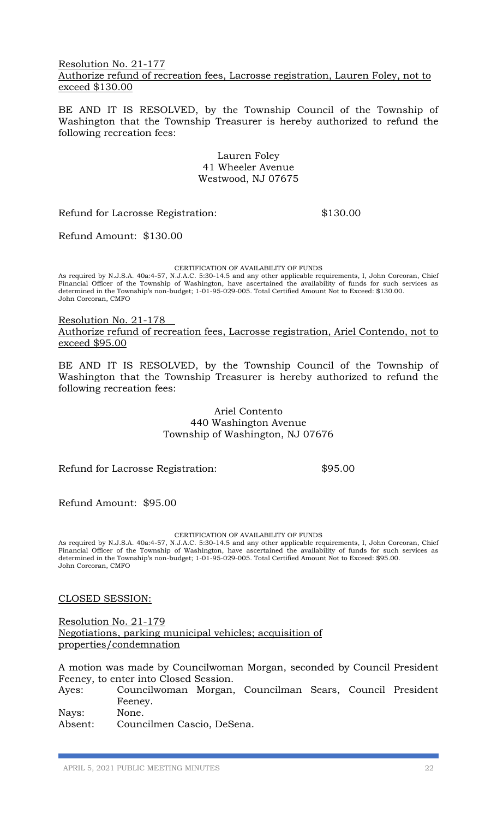#### Resolution No. 21-177 Authorize refund of recreation fees, Lacrosse registration, Lauren Foley, not to exceed \$130.00

BE AND IT IS RESOLVED, by the Township Council of the Township of Washington that the Township Treasurer is hereby authorized to refund the following recreation fees:

> Lauren Foley 41 Wheeler Avenue Westwood, NJ 07675

Refund for Lacrosse Registration:  $$130.00$ 

Refund Amount: \$130.00

CERTIFICATION OF AVAILABILITY OF FUNDS

As required by N.J.S.A. 40a:4-57, N.J.A.C. 5:30-14.5 and any other applicable requirements, I, John Corcoran, Chief Financial Officer of the Township of Washington, have ascertained the availability of funds for such services as determined in the Township's non-budget; 1-01-95-029-005. Total Certified Amount Not to Exceed: \$130.00. John Corcoran, CMFO

Resolution No. 21-178 Authorize refund of recreation fees, Lacrosse registration, Ariel Contendo, not to exceed \$95.00

BE AND IT IS RESOLVED, by the Township Council of the Township of Washington that the Township Treasurer is hereby authorized to refund the following recreation fees:

> Ariel Contento 440 Washington Avenue Township of Washington, NJ 07676

Refund for Lacrosse Registration:  $$95.00$ 

Refund Amount: \$95.00

#### CERTIFICATION OF AVAILABILITY OF FUNDS

As required by N.J.S.A. 40a:4-57, N.J.A.C. 5:30-14.5 and any other applicable requirements, I, John Corcoran, Chief Financial Officer of the Township of Washington, have ascertained the availability of funds for such services as determined in the Township's non-budget; 1-01-95-029-005. Total Certified Amount Not to Exceed: \$95.00. John Corcoran, CMFO

#### CLOSED SESSION:

Resolution No. 21-179 Negotiations, parking municipal vehicles; acquisition of properties/condemnation

A motion was made by Councilwoman Morgan, seconded by Council President Feeney, to enter into Closed Session.

Ayes: Councilwoman Morgan, Councilman Sears, Council President Feeney.

Nays: None.

Absent: Councilmen Cascio, DeSena.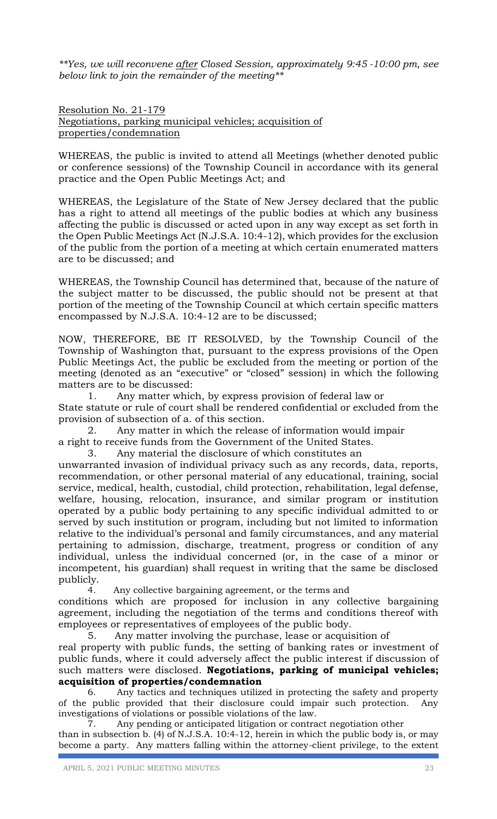*\*\*Yes, we will reconvene after Closed Session, approximately 9:45 -10:00 pm, see below link to join the remainder of the meeting\*\**

Resolution No. 21-179 Negotiations, parking municipal vehicles; acquisition of properties/condemnation

WHEREAS, the public is invited to attend all Meetings (whether denoted public or conference sessions) of the Township Council in accordance with its general practice and the Open Public Meetings Act; and

WHEREAS, the Legislature of the State of New Jersey declared that the public has a right to attend all meetings of the public bodies at which any business affecting the public is discussed or acted upon in any way except as set forth in the Open Public Meetings Act (N.J.S.A. 10:4-12), which provides for the exclusion of the public from the portion of a meeting at which certain enumerated matters are to be discussed; and

WHEREAS, the Township Council has determined that, because of the nature of the subject matter to be discussed, the public should not be present at that portion of the meeting of the Township Council at which certain specific matters encompassed by N.J.S.A. 10:4-12 are to be discussed;

NOW, THEREFORE, BE IT RESOLVED, by the Township Council of the Township of Washington that, pursuant to the express provisions of the Open Public Meetings Act, the public be excluded from the meeting or portion of the meeting (denoted as an "executive" or "closed" session) in which the following matters are to be discussed:

1. Any matter which, by express provision of federal law or State statute or rule of court shall be rendered confidential or excluded from the provision of subsection of a. of this section.

2. Any matter in which the release of information would impair a right to receive funds from the Government of the United States.

3. Any material the disclosure of which constitutes an

unwarranted invasion of individual privacy such as any records, data, reports, recommendation, or other personal material of any educational, training, social service, medical, health, custodial, child protection, rehabilitation, legal defense, welfare, housing, relocation, insurance, and similar program or institution operated by a public body pertaining to any specific individual admitted to or served by such institution or program, including but not limited to information relative to the individual's personal and family circumstances, and any material pertaining to admission, discharge, treatment, progress or condition of any individual, unless the individual concerned (or, in the case of a minor or incompetent, his guardian) shall request in writing that the same be disclosed publicly.

4. Any collective bargaining agreement, or the terms and conditions which are proposed for inclusion in any collective bargaining agreement, including the negotiation of the terms and conditions thereof with employees or representatives of employees of the public body.

5. Any matter involving the purchase, lease or acquisition of real property with public funds, the setting of banking rates or investment of public funds, where it could adversely affect the public interest if discussion of such matters were disclosed. **Negotiations, parking of municipal vehicles; acquisition of properties/condemnation**

6. Any tactics and techniques utilized in protecting the safety and property of the public provided that their disclosure could impair such protection. Any investigations of violations or possible violations of the law.

7. Any pending or anticipated litigation or contract negotiation other than in subsection b. (4) of N.J.S.A. 10:4-12, herein in which the public body is, or may become a party. Any matters falling within the attorney-client privilege, to the extent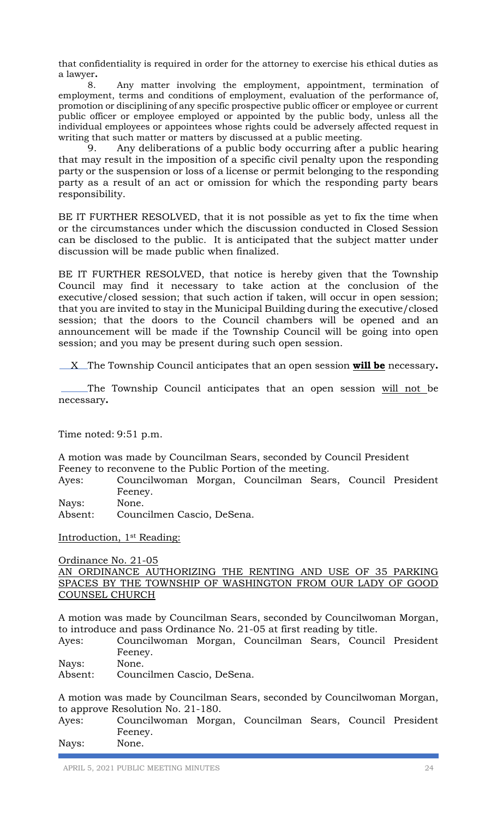that confidentiality is required in order for the attorney to exercise his ethical duties as a lawyer**.** 

8. Any matter involving the employment, appointment, termination of employment, terms and conditions of employment, evaluation of the performance of, promotion or disciplining of any specific prospective public officer or employee or current public officer or employee employed or appointed by the public body, unless all the individual employees or appointees whose rights could be adversely affected request in writing that such matter or matters by discussed at a public meeting.

9. Any deliberations of a public body occurring after a public hearing that may result in the imposition of a specific civil penalty upon the responding party or the suspension or loss of a license or permit belonging to the responding party as a result of an act or omission for which the responding party bears responsibility.

BE IT FURTHER RESOLVED, that it is not possible as yet to fix the time when or the circumstances under which the discussion conducted in Closed Session can be disclosed to the public. It is anticipated that the subject matter under discussion will be made public when finalized.

BE IT FURTHER RESOLVED, that notice is hereby given that the Township Council may find it necessary to take action at the conclusion of the executive/closed session; that such action if taken, will occur in open session; that you are invited to stay in the Municipal Building during the executive/closed session; that the doors to the Council chambers will be opened and an announcement will be made if the Township Council will be going into open session; and you may be present during such open session.

X The Township Council anticipates that an open session **will be** necessary**.**

The Township Council anticipates that an open session will not be necessary**.**

Time noted: 9:51 p.m.

A motion was made by Councilman Sears, seconded by Council President Feeney to reconvene to the Public Portion of the meeting.

Ayes: Councilwoman Morgan, Councilman Sears, Council President Feeney.

Nays: None.

Absent: Councilmen Cascio, DeSena.

Introduction, 1st Reading:

Ordinance No. 21-05 AN ORDINANCE AUTHORIZING THE RENTING AND USE OF 35 PARKING SPACES BY THE TOWNSHIP OF WASHINGTON FROM OUR LADY OF GOOD COUNSEL CHURCH

A motion was made by Councilman Sears, seconded by Councilwoman Morgan, to introduce and pass Ordinance No. 21-05 at first reading by title.

Ayes: Councilwoman Morgan, Councilman Sears, Council President Feeney.

Nays: None.

Absent: Councilmen Cascio, DeSena.

A motion was made by Councilman Sears, seconded by Councilwoman Morgan, to approve Resolution No. 21-180.

| Ayes: | Councilwoman Morgan, Councilman Sears, Council President |  |  |  |
|-------|----------------------------------------------------------|--|--|--|
|       | Feeney.                                                  |  |  |  |
| Nays: | None.                                                    |  |  |  |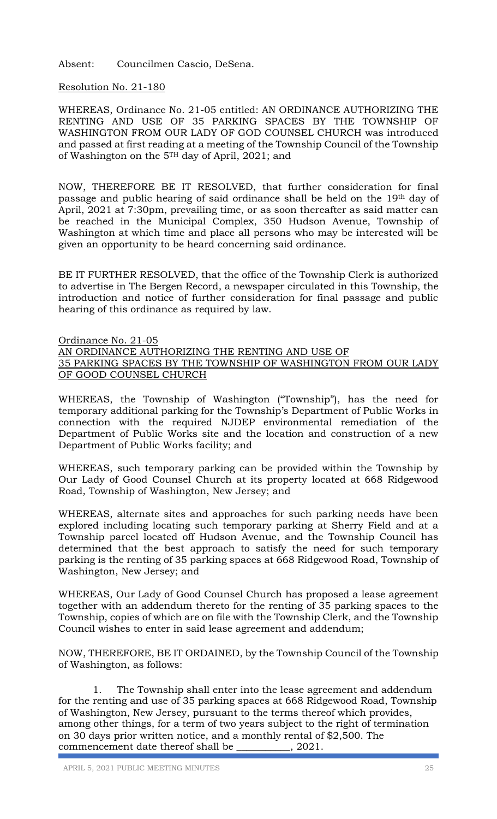Absent: Councilmen Cascio, DeSena.

## Resolution No. 21-180

WHEREAS, Ordinance No. 21-05 entitled: AN ORDINANCE AUTHORIZING THE RENTING AND USE OF 35 PARKING SPACES BY THE TOWNSHIP OF WASHINGTON FROM OUR LADY OF GOD COUNSEL CHURCH was introduced and passed at first reading at a meeting of the Township Council of the Township of Washington on the 5TH day of April, 2021; and

NOW, THEREFORE BE IT RESOLVED, that further consideration for final passage and public hearing of said ordinance shall be held on the 19th day of April, 2021 at 7:30pm, prevailing time, or as soon thereafter as said matter can be reached in the Municipal Complex, 350 Hudson Avenue, Township of Washington at which time and place all persons who may be interested will be given an opportunity to be heard concerning said ordinance.

BE IT FURTHER RESOLVED, that the office of the Township Clerk is authorized to advertise in The Bergen Record, a newspaper circulated in this Township, the introduction and notice of further consideration for final passage and public hearing of this ordinance as required by law.

Ordinance No. 21-05 AN ORDINANCE AUTHORIZING THE RENTING AND USE OF 35 PARKING SPACES BY THE TOWNSHIP OF WASHINGTON FROM OUR LADY OF GOOD COUNSEL CHURCH

WHEREAS, the Township of Washington ("Township"), has the need for temporary additional parking for the Township's Department of Public Works in connection with the required NJDEP environmental remediation of the Department of Public Works site and the location and construction of a new Department of Public Works facility; and

WHEREAS, such temporary parking can be provided within the Township by Our Lady of Good Counsel Church at its property located at 668 Ridgewood Road, Township of Washington, New Jersey; and

WHEREAS, alternate sites and approaches for such parking needs have been explored including locating such temporary parking at Sherry Field and at a Township parcel located off Hudson Avenue, and the Township Council has determined that the best approach to satisfy the need for such temporary parking is the renting of 35 parking spaces at 668 Ridgewood Road, Township of Washington, New Jersey; and

WHEREAS, Our Lady of Good Counsel Church has proposed a lease agreement together with an addendum thereto for the renting of 35 parking spaces to the Township, copies of which are on file with the Township Clerk, and the Township Council wishes to enter in said lease agreement and addendum;

NOW, THEREFORE, BE IT ORDAINED, by the Township Council of the Township of Washington, as follows:

 1. The Township shall enter into the lease agreement and addendum for the renting and use of 35 parking spaces at 668 Ridgewood Road, Township of Washington, New Jersey, pursuant to the terms thereof which provides, among other things, for a term of two years subject to the right of termination on 30 days prior written notice, and a monthly rental of \$2,500. The commencement date thereof shall be \_\_\_\_\_\_\_\_\_\_\_, 2021.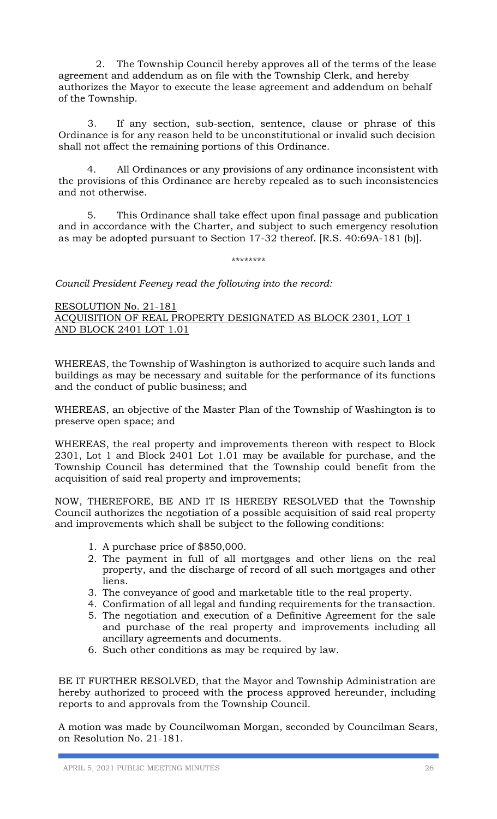2. The Township Council hereby approves all of the terms of the lease agreement and addendum as on file with the Township Clerk, and hereby authorizes the Mayor to execute the lease agreement and addendum on behalf of the Township.

3. If any section, sub-section, sentence, clause or phrase of this Ordinance is for any reason held to be unconstitutional or invalid such decision shall not affect the remaining portions of this Ordinance.

4. All Ordinances or any provisions of any ordinance inconsistent with the provisions of this Ordinance are hereby repealed as to such inconsistencies and not otherwise.

5. This Ordinance shall take effect upon final passage and publication and in accordance with the Charter, and subject to such emergency resolution as may be adopted pursuant to Section 17-32 thereof. [R.S. 40:69A-181 (b)].

\*\*\*\*\*\*\*\*

*Council President Feeney read the following into the record:* 

RESOLUTION No. 21-181 ACQUISITION OF REAL PROPERTY DESIGNATED AS BLOCK 2301, LOT 1 AND BLOCK 2401 LOT 1.01

WHEREAS, the Township of Washington is authorized to acquire such lands and buildings as may be necessary and suitable for the performance of its functions and the conduct of public business; and

WHEREAS, an objective of the Master Plan of the Township of Washington is to preserve open space; and

WHEREAS, the real property and improvements thereon with respect to Block 2301, Lot 1 and Block 2401 Lot 1.01 may be available for purchase, and the Township Council has determined that the Township could benefit from the acquisition of said real property and improvements;

NOW, THEREFORE, BE AND IT IS HEREBY RESOLVED that the Township Council authorizes the negotiation of a possible acquisition of said real property and improvements which shall be subject to the following conditions:

- 1. A purchase price of \$850,000.
- 2. The payment in full of all mortgages and other liens on the real property, and the discharge of record of all such mortgages and other liens.
- 3. The conveyance of good and marketable title to the real property.
- 4. Confirmation of all legal and funding requirements for the transaction.
- 5. The negotiation and execution of a Definitive Agreement for the sale and purchase of the real property and improvements including all ancillary agreements and documents.
- 6. Such other conditions as may be required by law.

BE IT FURTHER RESOLVED, that the Mayor and Township Administration are hereby authorized to proceed with the process approved hereunder, including reports to and approvals from the Township Council.

A motion was made by Councilwoman Morgan, seconded by Councilman Sears, on Resolution No. 21-181.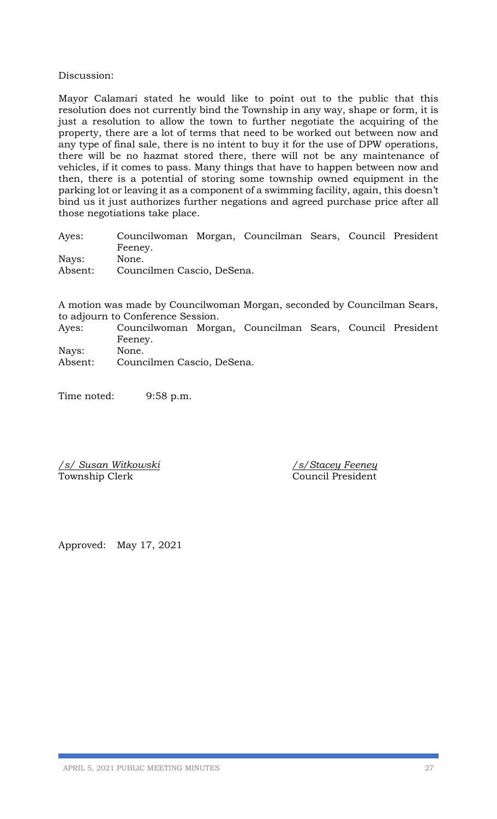#### Discussion:

Mayor Calamari stated he would like to point out to the public that this resolution does not currently bind the Township in any way, shape or form, it is just a resolution to allow the town to further negotiate the acquiring of the property, there are a lot of terms that need to be worked out between now and any type of final sale, there is no intent to buy it for the use of DPW operations, there will be no hazmat stored there, there will not be any maintenance of vehicles, if it comes to pass. Many things that have to happen between now and then, there is a potential of storing some township owned equipment in the parking lot or leaving it as a component of a swimming facility, again, this doesn't bind us it just authorizes further negations and agreed purchase price after all those negotiations take place.

Ayes: Councilwoman Morgan, Councilman Sears, Council President Feeney. Nays: None. Absent: Councilmen Cascio, DeSena.

A motion was made by Councilwoman Morgan, seconded by Councilman Sears, to adjourn to Conference Session.

- Ayes: Councilwoman Morgan, Councilman Sears, Council President Feeney. Nays: None.
- Absent: Councilmen Cascio, DeSena.

Time noted: 9:58 p.m.

*/s/ Susan Witkowski /s/Stacey Feeney* Township Clerk Council President

Approved: May 17, 2021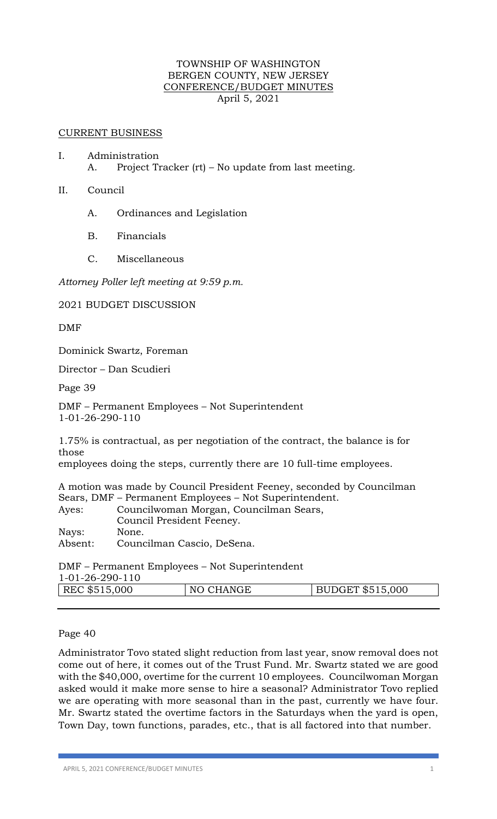## TOWNSHIP OF WASHINGTON BERGEN COUNTY, NEW JERSEY CONFERENCE/BUDGET MINUTES April 5, 2021

#### CURRENT BUSINESS

- I. Administration A. Project Tracker (rt) – No update from last meeting.
- II. Council
	- A. Ordinances and Legislation
	- B. Financials
	- C. Miscellaneous

*Attorney Poller left meeting at 9:59 p.m.* 

2021 BUDGET DISCUSSION

DMF

Dominick Swartz, Foreman

Director – Dan Scudieri

Page 39

DMF – Permanent Employees – Not Superintendent 1-01-26-290-110

1.75% is contractual, as per negotiation of the contract, the balance is for those

employees doing the steps, currently there are 10 full-time employees.

A motion was made by Council President Feeney, seconded by Councilman Sears, DMF – Permanent Employees – Not Superintendent.

| Ayes:   | Councilwoman Morgan, Councilman Sears, |
|---------|----------------------------------------|
|         | Council President Feeney.              |
| Nays:   | None.                                  |
| Absent: | Councilman Cascio, DeSena.             |

DMF – Permanent Employees – Not Superintendent 1-01-26-290-110

| 1012027<br>REC \$515,000 | NO CHANGE | <b>BUDGET \$515,000</b> |
|--------------------------|-----------|-------------------------|
|                          |           |                         |

## Page 40

Administrator Tovo stated slight reduction from last year, snow removal does not come out of here, it comes out of the Trust Fund. Mr. Swartz stated we are good with the \$40,000, overtime for the current 10 employees. Councilwoman Morgan asked would it make more sense to hire a seasonal? Administrator Tovo replied we are operating with more seasonal than in the past, currently we have four. Mr. Swartz stated the overtime factors in the Saturdays when the yard is open, Town Day, town functions, parades, etc., that is all factored into that number.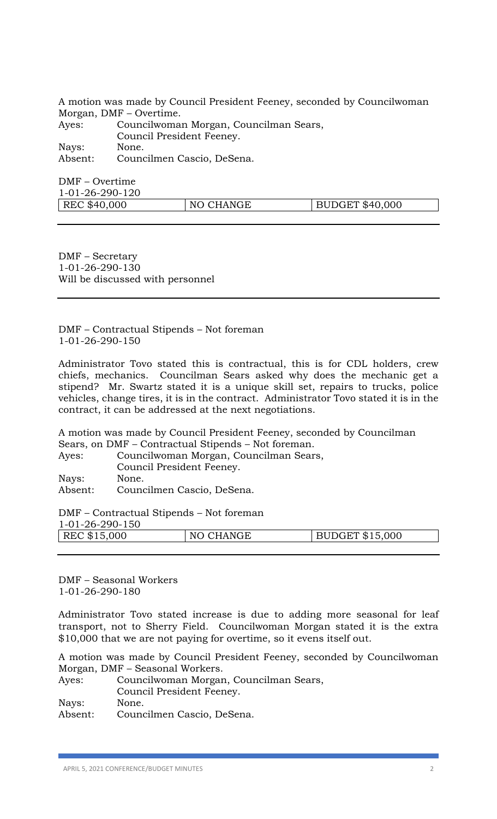A motion was made by Council President Feeney, seconded by Councilwoman Morgan, DMF – Overtime. Ayes: Councilwoman Morgan, Councilman Sears, Council President Feeney. Nays: None. Absent: Councilmen Cascio, DeSena.

DMF – Overtime 1-01-26-290-120 | REC \$40,000 | NO CHANGE | BUDGET \$40,000

DMF – Secretary 1-01-26-290-130 Will be discussed with personnel

DMF – Contractual Stipends – Not foreman 1-01-26-290-150

Administrator Tovo stated this is contractual, this is for CDL holders, crew chiefs, mechanics. Councilman Sears asked why does the mechanic get a stipend? Mr. Swartz stated it is a unique skill set, repairs to trucks, police vehicles, change tires, it is in the contract. Administrator Tovo stated it is in the contract, it can be addressed at the next negotiations.

A motion was made by Council President Feeney, seconded by Councilman Sears, on DMF – Contractual Stipends – Not foreman. Ayes: Councilwoman Morgan, Councilman Sears,

Council President Feeney. Nays: None.

Absent: Councilmen Cascio, DeSena.

DMF – Contractual Stipends – Not foreman

| 1-01-26-290-150 |           |                        |
|-----------------|-----------|------------------------|
| REC \$15,000    | NO CHANGE | <b>BUDGET \$15,000</b> |
|                 |           |                        |

DMF – Seasonal Workers 1-01-26-290-180

Administrator Tovo stated increase is due to adding more seasonal for leaf transport, not to Sherry Field. Councilwoman Morgan stated it is the extra \$10,000 that we are not paying for overtime, so it evens itself out.

A motion was made by Council President Feeney, seconded by Councilwoman Morgan, DMF – Seasonal Workers.

| Ayes:   | Councilwoman Morgan, Councilman Sears, |
|---------|----------------------------------------|
|         | Council President Feeney.              |
| Nays:   | None.                                  |
| Absent: | Councilmen Cascio, DeSena.             |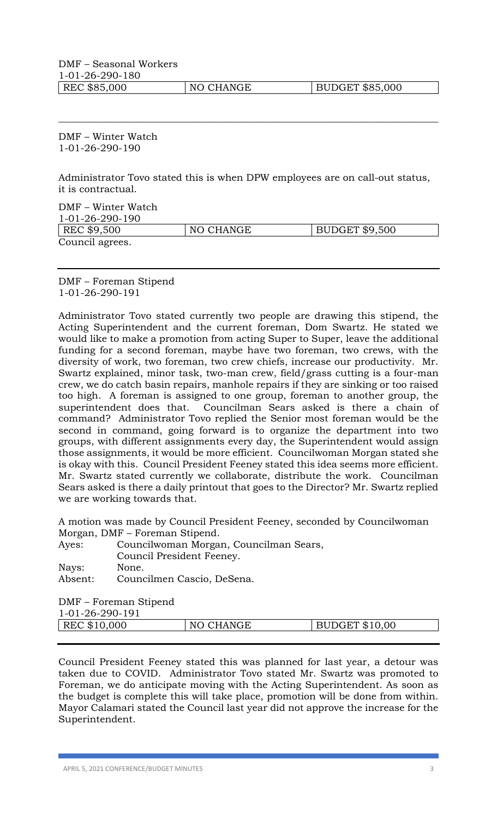DMF – Seasonal Workers 1-01-26-290-180

REC \$85,000 NO CHANGE BUDGET \$85,000

DMF – Winter Watch 1-01-26-290-190

Administrator Tovo stated this is when DPW employees are on call-out status, it is contractual.

\_\_\_\_\_\_\_\_\_\_\_\_\_\_\_\_\_\_\_\_\_\_\_\_\_\_\_\_\_\_\_\_\_\_\_\_\_\_\_\_\_\_\_\_\_\_\_\_\_\_\_\_\_\_\_\_\_\_\_\_\_\_\_\_\_\_\_\_\_\_\_\_\_\_\_\_\_\_

DMF – Winter Watch 1-01-26-290-190 REC \$9,500 NO CHANGE BUDGET \$9,500 Council agrees.

DMF – Foreman Stipend 1-01-26-290-191

Administrator Tovo stated currently two people are drawing this stipend, the Acting Superintendent and the current foreman, Dom Swartz. He stated we would like to make a promotion from acting Super to Super, leave the additional funding for a second foreman, maybe have two foreman, two crews, with the diversity of work, two foreman, two crew chiefs, increase our productivity. Mr. Swartz explained, minor task, two-man crew, field/grass cutting is a four-man crew, we do catch basin repairs, manhole repairs if they are sinking or too raised too high. A foreman is assigned to one group, foreman to another group, the superintendent does that. Councilman Sears asked is there a chain of command? Administrator Tovo replied the Senior most foreman would be the second in command, going forward is to organize the department into two groups, with different assignments every day, the Superintendent would assign those assignments, it would be more efficient. Councilwoman Morgan stated she is okay with this. Council President Feeney stated this idea seems more efficient. Mr. Swartz stated currently we collaborate, distribute the work. Councilman Sears asked is there a daily printout that goes to the Director? Mr. Swartz replied we are working towards that.

A motion was made by Council President Feeney, seconded by Councilwoman Morgan, DMF – Foreman Stipend.

| Ayes:   | Councilwoman Morgan, Councilman Sears, |
|---------|----------------------------------------|
|         | Council President Feeney.              |
| Nays:   | None.                                  |
| Absent: | Councilmen Cascio, DeSena.             |

DMF – Foreman Stipend 1-01-26-290-191  $\vert$  REC \$10,000  $\vert$  NO CHANGE  $\vert$  BUDGET \$10,00

Council President Feeney stated this was planned for last year, a detour was taken due to COVID. Administrator Tovo stated Mr. Swartz was promoted to Foreman, we do anticipate moving with the Acting Superintendent. As soon as the budget is complete this will take place, promotion will be done from within. Mayor Calamari stated the Council last year did not approve the increase for the Superintendent.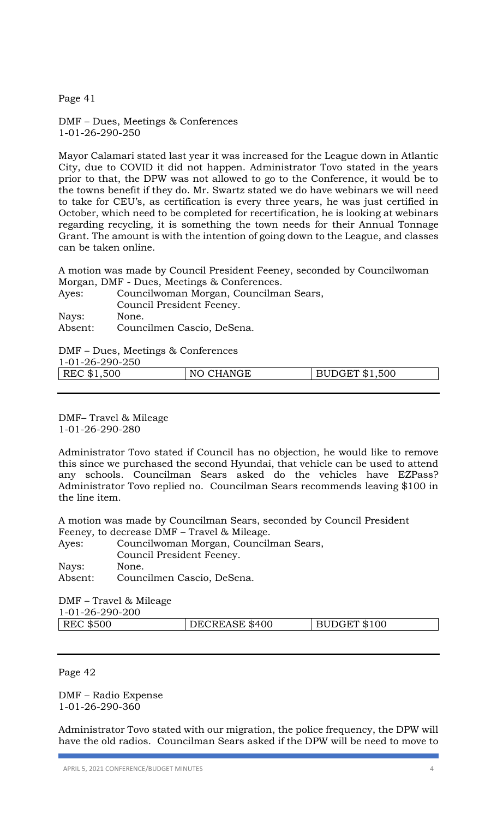Page 41

DMF – Dues, Meetings & Conferences 1-01-26-290-250

Mayor Calamari stated last year it was increased for the League down in Atlantic City, due to COVID it did not happen. Administrator Tovo stated in the years prior to that, the DPW was not allowed to go to the Conference, it would be to the towns benefit if they do. Mr. Swartz stated we do have webinars we will need to take for CEU's, as certification is every three years, he was just certified in October, which need to be completed for recertification, he is looking at webinars regarding recycling, it is something the town needs for their Annual Tonnage Grant. The amount is with the intention of going down to the League, and classes can be taken online.

A motion was made by Council President Feeney, seconded by Councilwoman Morgan, DMF - Dues, Meetings & Conferences.

| Ayes:   | Councilwoman Morgan, Councilman Sears, |
|---------|----------------------------------------|
|         | Council President Feeney.              |
| Nays:   | None.                                  |
| Absent: | Councilmen Cascio, DeSena.             |

DMF – Dues, Meetings & Conferences

1-01-26-290-250

| REC \$1,500 | NO CHANGE | BUDGET \$1,500 |
|-------------|-----------|----------------|
|             |           |                |

DMF– Travel & Mileage 1-01-26-290-280

Administrator Tovo stated if Council has no objection, he would like to remove this since we purchased the second Hyundai, that vehicle can be used to attend any schools. Councilman Sears asked do the vehicles have EZPass? Administrator Tovo replied no. Councilman Sears recommends leaving \$100 in the line item.

A motion was made by Councilman Sears, seconded by Council President Feeney, to decrease DMF – Travel & Mileage.

| Ayes:   | Councilwoman Morgan, Councilman Sears, |
|---------|----------------------------------------|
|         | Council President Feeney.              |
| Nays:   | None.                                  |
| Absent: | Councilmen Cascio, DeSena.             |

DMF – Travel & Mileage 1-01-26-290-200

| <b>REC \$500</b> | DECREASE \$400 | BUDGET \$100 |
|------------------|----------------|--------------|
|                  |                |              |

Page 42

DMF – Radio Expense 1-01-26-290-360

Administrator Tovo stated with our migration, the police frequency, the DPW will have the old radios. Councilman Sears asked if the DPW will be need to move to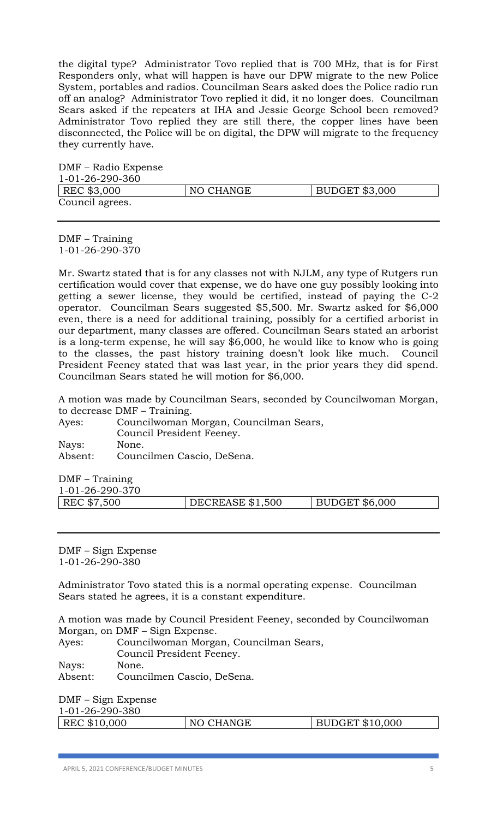the digital type? Administrator Tovo replied that is 700 MHz, that is for First Responders only, what will happen is have our DPW migrate to the new Police System, portables and radios. Councilman Sears asked does the Police radio run off an analog? Administrator Tovo replied it did, it no longer does. Councilman Sears asked if the repeaters at IHA and Jessie George School been removed? Administrator Tovo replied they are still there, the copper lines have been disconnected, the Police will be on digital, the DPW will migrate to the frequency they currently have.

| DMF – Radio Expense |           |                       |
|---------------------|-----------|-----------------------|
| 1-01-26-290-360     |           |                       |
| REC \$3,000         | NO CHANGE | <b>BUDGET \$3,000</b> |
| Council agrees.     |           |                       |

DMF – Training 1-01-26-290-370

Mr. Swartz stated that is for any classes not with NJLM, any type of Rutgers run certification would cover that expense, we do have one guy possibly looking into getting a sewer license, they would be certified, instead of paying the C-2 operator. Councilman Sears suggested \$5,500. Mr. Swartz asked for \$6,000 even, there is a need for additional training, possibly for a certified arborist in our department, many classes are offered. Councilman Sears stated an arborist is a long-term expense, he will say \$6,000, he would like to know who is going to the classes, the past history training doesn't look like much. Council President Feeney stated that was last year, in the prior years they did spend. Councilman Sears stated he will motion for \$6,000.

A motion was made by Councilman Sears, seconded by Councilwoman Morgan, to decrease DMF – Training.

| Ayes:   | Councilwoman Morgan, Councilman Sears, |
|---------|----------------------------------------|
|         | Council President Feeney.              |
| Nays:   | None.                                  |
| Absent: | Councilmen Cascio, DeSena.             |

DMF – Training

| 1-01-26-290-370 |                  |                        |
|-----------------|------------------|------------------------|
| REC \$7,500     | DECREASE \$1,500 | $\vert$ BUDGET \$6,000 |
|                 |                  |                        |

DMF – Sign Expense 1-01-26-290-380

Administrator Tovo stated this is a normal operating expense. Councilman Sears stated he agrees, it is a constant expenditure.

A motion was made by Council President Feeney, seconded by Councilwoman Morgan, on DMF – Sign Expense.

Ayes: Councilwoman Morgan, Councilman Sears, Council President Feeney. Nays: None.

Absent: Councilmen Cascio, DeSena.

DMF – Sign Expense 1-01-26-290-380

|--|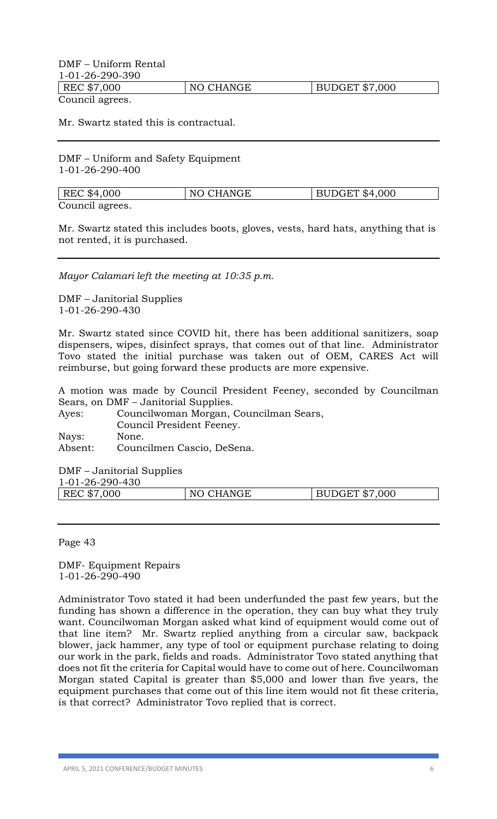# DMF – Uniform Rental 1-01-26-290-390 REC \$7,000 NO CHANGE BUDGET \$7,000

Council agrees.

Mr. Swartz stated this is contractual.

DMF – Uniform and Safety Equipment 1-01-26-290-400

| REC \$4,000     | NO CHANGE | <b>BUDGET \$4,000</b> |
|-----------------|-----------|-----------------------|
| Council agrees. |           |                       |

Mr. Swartz stated this includes boots, gloves, vests, hard hats, anything that is not rented, it is purchased.

*Mayor Calamari left the meeting at 10:35 p.m.*

DMF – Janitorial Supplies 1-01-26-290-430

Mr. Swartz stated since COVID hit, there has been additional sanitizers, soap dispensers, wipes, disinfect sprays, that comes out of that line. Administrator Tovo stated the initial purchase was taken out of OEM, CARES Act will reimburse, but going forward these products are more expensive.

A motion was made by Council President Feeney, seconded by Councilman Sears, on DMF – Janitorial Supplies.

| Ayes:   | Councilwoman Morgan, Councilman Sears, |
|---------|----------------------------------------|
|         | Council President Feeney.              |
| Nays:   | None.                                  |
| Absent: | Councilmen Cascio, DeSena.             |

DMF – Janitorial Supplies 1-01-26-290-430

| REC \$7,000<br>CHANGE<br>JDGET \$7,000<br>NO. |
|-----------------------------------------------|
|-----------------------------------------------|

Page 43

DMF- Equipment Repairs 1-01-26-290-490

Administrator Tovo stated it had been underfunded the past few years, but the funding has shown a difference in the operation, they can buy what they truly want. Councilwoman Morgan asked what kind of equipment would come out of that line item? Mr. Swartz replied anything from a circular saw, backpack blower, jack hammer, any type of tool or equipment purchase relating to doing our work in the park, fields and roads. Administrator Tovo stated anything that does not fit the criteria for Capital would have to come out of here. Councilwoman Morgan stated Capital is greater than \$5,000 and lower than five years, the equipment purchases that come out of this line item would not fit these criteria, is that correct? Administrator Tovo replied that is correct.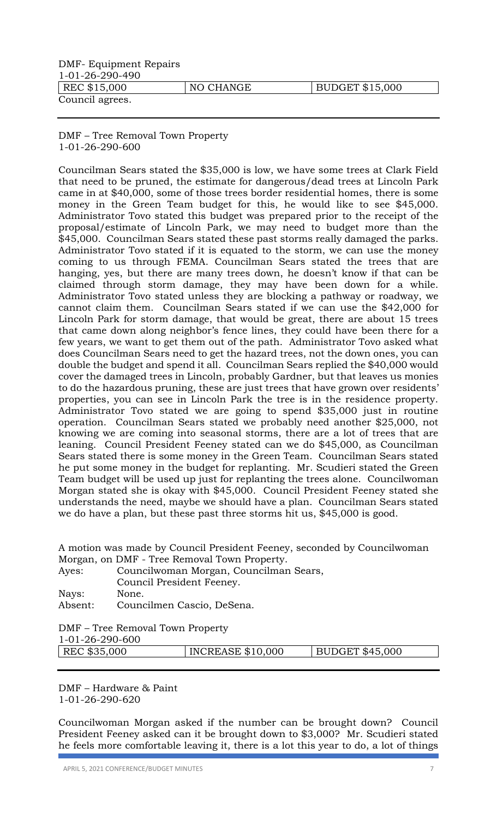| DMF- Equipment Repairs |           |                 |
|------------------------|-----------|-----------------|
| 1-01-26-290-490        |           |                 |
| REC \$15,000           | NO CHANGE | BUDGET \$15,000 |
| Council agrees.        |           |                 |

DMF – Tree Removal Town Property 1-01-26-290-600

Councilman Sears stated the \$35,000 is low, we have some trees at Clark Field that need to be pruned, the estimate for dangerous/dead trees at Lincoln Park came in at \$40,000, some of those trees border residential homes, there is some money in the Green Team budget for this, he would like to see \$45,000. Administrator Tovo stated this budget was prepared prior to the receipt of the proposal/estimate of Lincoln Park, we may need to budget more than the \$45,000. Councilman Sears stated these past storms really damaged the parks. Administrator Tovo stated if it is equated to the storm, we can use the money coming to us through FEMA. Councilman Sears stated the trees that are hanging, yes, but there are many trees down, he doesn't know if that can be claimed through storm damage, they may have been down for a while. Administrator Tovo stated unless they are blocking a pathway or roadway, we cannot claim them. Councilman Sears stated if we can use the \$42,000 for Lincoln Park for storm damage, that would be great, there are about 15 trees that came down along neighbor's fence lines, they could have been there for a few years, we want to get them out of the path. Administrator Tovo asked what does Councilman Sears need to get the hazard trees, not the down ones, you can double the budget and spend it all. Councilman Sears replied the \$40,000 would cover the damaged trees in Lincoln, probably Gardner, but that leaves us monies to do the hazardous pruning, these are just trees that have grown over residents' properties, you can see in Lincoln Park the tree is in the residence property. Administrator Tovo stated we are going to spend \$35,000 just in routine operation. Councilman Sears stated we probably need another \$25,000, not knowing we are coming into seasonal storms, there are a lot of trees that are leaning. Council President Feeney stated can we do \$45,000, as Councilman Sears stated there is some money in the Green Team. Councilman Sears stated he put some money in the budget for replanting. Mr. Scudieri stated the Green Team budget will be used up just for replanting the trees alone. Councilwoman Morgan stated she is okay with \$45,000. Council President Feeney stated she understands the need, maybe we should have a plan. Councilman Sears stated we do have a plan, but these past three storms hit us, \$45,000 is good.

| A motion was made by Council President Feeney, seconded by Councilwoman |  |
|-------------------------------------------------------------------------|--|
| Morgan, on DMF - Tree Removal Town Property.                            |  |

| Ayes:   | Councilwoman Morgan, Councilman Sears, |
|---------|----------------------------------------|
|         | Council President Feeney.              |
| Nays:   | None.                                  |
| Absent: | Councilmen Cascio, DeSena.             |
|         |                                        |

DMF – Tree Removal Town Property

1-01-26-290-600

| __ _ _ _ _ _ _ _ _ _ _ |                          |                 |
|------------------------|--------------------------|-----------------|
| REC \$35,000           | <b>INCREASE \$10,000</b> | BUDGET \$45,000 |
|                        |                          |                 |

DMF – Hardware & Paint 1-01-26-290-620

Councilwoman Morgan asked if the number can be brought down? Council President Feeney asked can it be brought down to \$3,000? Mr. Scudieri stated he feels more comfortable leaving it, there is a lot this year to do, a lot of things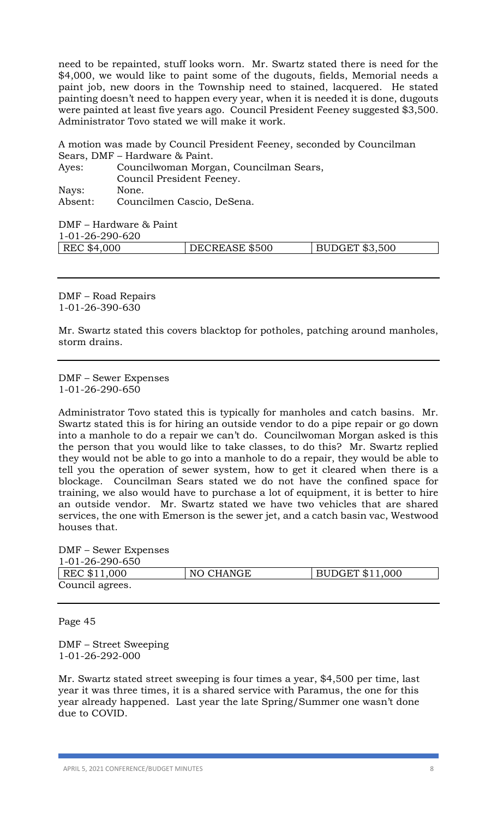need to be repainted, stuff looks worn. Mr. Swartz stated there is need for the \$4,000, we would like to paint some of the dugouts, fields, Memorial needs a paint job, new doors in the Township need to stained, lacquered. He stated painting doesn't need to happen every year, when it is needed it is done, dugouts were painted at least five years ago. Council President Feeney suggested \$3,500. Administrator Tovo stated we will make it work.

A motion was made by Council President Feeney, seconded by Councilman Sears, DMF – Hardware & Paint.

| Ayes:   | Councilwoman Morgan, Councilman Sears, |
|---------|----------------------------------------|
|         | Council President Feeney.              |
| Nays:   | None.                                  |
| Absent: | Councilmen Cascio, DeSena.             |

DMF – Hardware & Paint

1-01-26-290-620

| 1012020000  |                |                       |
|-------------|----------------|-----------------------|
| REC \$4,000 | DECREASE \$500 | <b>BUDGET \$3,500</b> |
|             |                |                       |

DMF – Road Repairs 1-01-26-390-630

Mr. Swartz stated this covers blacktop for potholes, patching around manholes, storm drains.

DMF – Sewer Expenses 1-01-26-290-650

Administrator Tovo stated this is typically for manholes and catch basins. Mr. Swartz stated this is for hiring an outside vendor to do a pipe repair or go down into a manhole to do a repair we can't do. Councilwoman Morgan asked is this the person that you would like to take classes, to do this? Mr. Swartz replied they would not be able to go into a manhole to do a repair, they would be able to tell you the operation of sewer system, how to get it cleared when there is a blockage. Councilman Sears stated we do not have the confined space for training, we also would have to purchase a lot of equipment, it is better to hire an outside vendor. Mr. Swartz stated we have two vehicles that are shared services, the one with Emerson is the sewer jet, and a catch basin vac, Westwood houses that.

DMF – Sewer Expenses

| 1-01-26-290-650 |           |                        |
|-----------------|-----------|------------------------|
| REC \$11,000    | NO CHANGE | <b>BUDGET \$11,000</b> |
| Council agrees. |           |                        |

Page 45

DMF – Street Sweeping 1-01-26-292-000

Mr. Swartz stated street sweeping is four times a year, \$4,500 per time, last year it was three times, it is a shared service with Paramus, the one for this year already happened. Last year the late Spring/Summer one wasn't done due to COVID.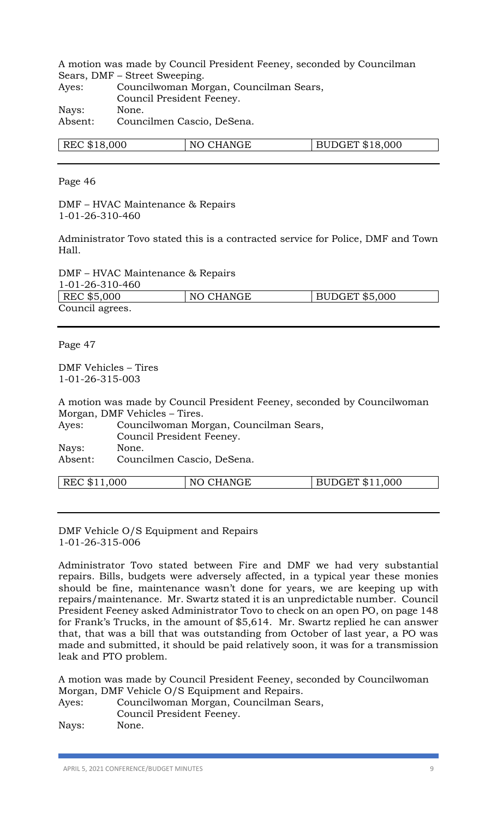A motion was made by Council President Feeney, seconded by Councilman Sears, DMF – Street Sweeping.

| Ayes:   | Councilwoman Morgan, Councilman Sears, |
|---------|----------------------------------------|
|         | Council President Feeney.              |
| Nays:   | None.                                  |
| Absent: | Councilmen Cascio, DeSena.             |

| REC \$18,000 | NO CHANGE | JDGET \$18.000 |
|--------------|-----------|----------------|
|              |           |                |

Page 46

DMF – HVAC Maintenance & Repairs 1-01-26-310-460

Administrator Tovo stated this is a contracted service for Police, DMF and Town Hall.

DMF – HVAC Maintenance & Repairs 1-01-26-310-460

| UUT-UL-ZU-JIU-TUU |           |                |
|-------------------|-----------|----------------|
| REC \$5,000       | NO CHANGE | BUDGET \$5,000 |
| Council agrees.   |           |                |

Page 47

DMF Vehicles – Tires 1-01-26-315-003

A motion was made by Council President Feeney, seconded by Councilwoman Morgan, DMF Vehicles – Tires.

| Ayes:   | Councilwoman Morgan, Councilman Sears, |
|---------|----------------------------------------|
|         | Council President Feeney.              |
| Nays:   | None.                                  |
| Absent: | Councilmen Cascio, DeSena.             |
|         |                                        |

| REC \$11,000 | CHANGE<br>NO | DGET \$11,000<br>$-0.011$ |
|--------------|--------------|---------------------------|
|              |              |                           |

DMF Vehicle O/S Equipment and Repairs 1-01-26-315-006

Administrator Tovo stated between Fire and DMF we had very substantial repairs. Bills, budgets were adversely affected, in a typical year these monies should be fine, maintenance wasn't done for years, we are keeping up with repairs/maintenance. Mr. Swartz stated it is an unpredictable number. Council President Feeney asked Administrator Tovo to check on an open PO, on page 148 for Frank's Trucks, in the amount of \$5,614. Mr. Swartz replied he can answer that, that was a bill that was outstanding from October of last year, a PO was made and submitted, it should be paid relatively soon, it was for a transmission leak and PTO problem.

A motion was made by Council President Feeney, seconded by Councilwoman Morgan, DMF Vehicle O/S Equipment and Repairs.

| Ayes: | Councilwoman Morgan, Councilman Sears, |
|-------|----------------------------------------|
|       | Council President Feeney.              |
| Nays: | None.                                  |